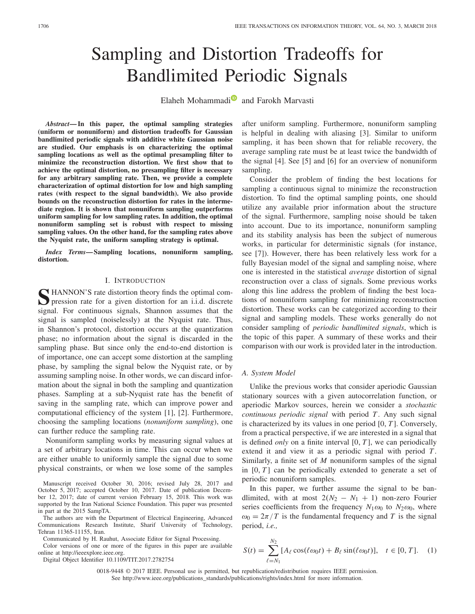# Sampling and Distortion Tradeoffs for Bandlimited Periodic Signals

Elaheh Mohammadi<sup>®</sup> and Farokh Marvasti

*Abstract***— In this paper, the optimal sampling strategies (uniform or nonuniform) and distortion tradeoffs for Gaussian bandlimited periodic signals with additive white Gaussian noise are studied. Our emphasis is on characterizing the optimal sampling locations as well as the optimal presampling filter to minimize the reconstruction distortion. We first show that to achieve the optimal distortion, no presampling filter is necessary for any arbitrary sampling rate. Then, we provide a complete characterization of optimal distortion for low and high sampling rates (with respect to the signal bandwidth). We also provide bounds on the reconstruction distortion for rates in the intermediate region. It is shown that nonuniform sampling outperforms uniform sampling for low sampling rates. In addition, the optimal nonuniform sampling set is robust with respect to missing sampling values. On the other hand, for the sampling rates above the Nyquist rate, the uniform sampling strategy is optimal.**

*Index Terms***— Sampling locations, nonuniform sampling, distortion.**

#### I. INTRODUCTION

**S**HANNON'S rate distortion theory finds the optimal compression rate for a given distortion for an i.i.d. discrete signal. For continuous signals, Shannon assumes that the signal is sampled (noiselessly) at the Nyquist rate. Thus, in Shannon's protocol, distortion occurs at the quantization phase; no information about the signal is discarded in the sampling phase. But since only the end-to-end distortion is of importance, one can accept some distortion at the sampling phase, by sampling the signal below the Nyquist rate, or by assuming sampling noise. In other words, we can discard information about the signal in both the sampling and quantization phases. Sampling at a sub-Nyquist rate has the benefit of saving in the sampling rate, which can improve power and computational efficiency of the system [1], [2]. Furthermore, choosing the sampling locations (*nonuniform sampling*), one can further reduce the sampling rate.

Nonuniform sampling works by measuring signal values at a set of arbitrary locations in time. This can occur when we are either unable to uniformly sample the signal due to some physical constraints, or when we lose some of the samples

Manuscript received October 30, 2016; revised July 28, 2017 and October 5, 2017; accepted October 10, 2017. Date of publication December 12, 2017; date of current version February 15, 2018. This work was supported by the Iran National Science Foundation. This paper was presented in part at the 2015 SampTA.

The authors are with the Department of Electrical Engineering, Advanced Communications Research Institute, Sharif University of Technology, Tehran 11365-11155, Iran.

Communicated by H. Rauhut, Associate Editor for Signal Processing.

Color versions of one or more of the figures in this paper are available online at http://ieeexplore.ieee.org.

Digital Object Identifier 10.1109/TIT.2017.2782754

after uniform sampling. Furthermore, nonuniform sampling is helpful in dealing with aliasing [3]. Similar to uniform sampling, it has been shown that for reliable recovery, the average sampling rate must be at least twice the bandwidth of the signal [4]. See [5] and [6] for an overview of nonuniform sampling.

Consider the problem of finding the best locations for sampling a continuous signal to minimize the reconstruction distortion. To find the optimal sampling points, one should utilize any available prior information about the structure of the signal. Furthermore, sampling noise should be taken into account. Due to its importance, nonuniform sampling and its stability analysis has been the subject of numerous works, in particular for deterministic signals (for instance, see [7]). However, there has been relatively less work for a fully Bayesian model of the signal and sampling noise, where one is interested in the statistical *average* distortion of signal reconstruction over a class of signals. Some previous works along this line address the problem of finding the best locations of nonuniform sampling for minimizing reconstruction distortion. These works can be categorized according to their signal and sampling models. These works generally do not consider sampling of *periodic bandlimited signals*, which is the topic of this paper. A summary of these works and their comparison with our work is provided later in the introduction.

## *A. System Model*

Unlike the previous works that consider aperiodic Gaussian stationary sources with a given autocorrelation function, or aperiodic Markov sources, herein we consider a *stochastic continuous periodic signal* with period *T* . Any such signal is characterized by its values in one period [0, *T* ]. Conversely, from a practical perspective, if we are interested in a signal that is defined *only* on a finite interval [0, *T* ], we can periodically extend it and view it as a periodic signal with period *T* . Similarly, a finite set of *M* nonuniform samples of the signal in [0, *T* ] can be periodically extended to generate a set of periodic nonuniform samples.

In this paper, we further assume the signal to be bandlimited, with at most  $2(N_2 - N_1 + 1)$  non-zero Fourier series coefficients from the frequency  $N_1\omega_0$  to  $N_2\omega_0$ , where  $\omega_0 = 2\pi/T$  is the fundamental frequency and T is the signal period, *i.e.,*

$$
S(t) = \sum_{\ell=N_1}^{N_2} [A_{\ell} \cos(\ell \omega_0 t) + B_{\ell} \sin(\ell \omega_0 t)], \quad t \in [0, T]. \quad (1)
$$

0018-9448 © 2017 IEEE. Personal use is permitted, but republication/redistribution requires IEEE permission. See http://www.ieee.org/publications\_standards/publications/rights/index.html for more information.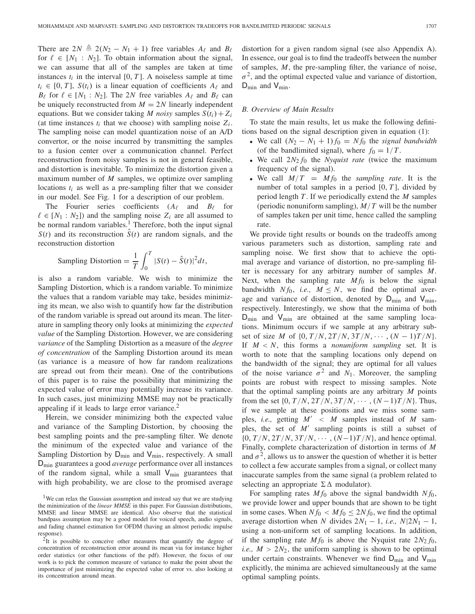There are  $2N \triangleq 2(N_2 - N_1 + 1)$  free variables  $A_\ell$  and  $B_\ell$ for  $\ell \in [N_1 : N_2]$ . To obtain information about the signal, we can assume that all of the samples are taken at time instances  $t_i$  in the interval  $[0, T]$ . A noiseless sample at time  $t_i \in [0, T]$ ,  $S(t_i)$  is a linear equation of coefficients  $A_\ell$  and *B*<sub> $\ell$ </sub> for  $\ell \in [N_1 : N_2]$ . The 2*N* free variables  $A_{\ell}$  and  $B_{\ell}$  can be uniquely reconstructed from  $M = 2N$  linearly independent equations. But we consider taking *M* noisy samples  $S(t_i) + Z_i$ (at time instances  $t_i$  that we choose) with sampling noise  $Z_i$ . The sampling noise can model quantization noise of an A/D convertor, or the noise incurred by transmitting the samples to a fusion center over a communication channel. Perfect reconstruction from noisy samples is not in general feasible, and distortion is inevitable. To minimize the distortion given a maximum number of *M* samples, we optimize over sampling locations *ti* as well as a pre-sampling filter that we consider in our model. See Fig. 1 for a description of our problem.

The Fourier series coefficients  $(A_\ell$  and  $B_\ell$  for  $\ell \in [N_1 : N_2]$  and the sampling noise  $Z_i$  are all assumed to be normal random variables.<sup>1</sup> Therefore, both the input signal  $S(t)$  and its reconstruction  $\hat{S}(t)$  are random signals, and the reconstruction distortion

Sampling Distortion = 
$$
\frac{1}{T} \int_0^T |S(t) - \hat{S}(t)|^2 dt,
$$

is also a random variable. We wish to minimize the Sampling Distortion, which is a random variable. To minimize the values that a random variable may take, besides minimizing its mean, we also wish to quantify how far the distribution of the random variable is spread out around its mean. The literature in sampling theory only looks at minimizing the *expected value* of the Sampling Distortion. However, we are considering *variance* of the Sampling Distortion as a measure of the *degree of concentration* of the Sampling Distortion around its mean (as variance is a measure of how far random realizations are spread out from their mean). One of the contributions of this paper is to raise the possibility that minimizing the expected value of error may potentially increase its variance. In such cases, just minimizing MMSE may not be practically appealing if it leads to large error variance.<sup>2</sup>

Herein, we consider minimizing both the expected value and variance of the Sampling Distortion, by choosing the best sampling points and the pre-sampling filter. We denote the minimum of the expected value and variance of the Sampling Distortion by  $D_{\min}$  and  $V_{\min}$ , respectively. A small Dmin guarantees a good *average* performance over all instances of the random signal, while a small  $V_{\text{min}}$  guarantees that with high probability, we are close to the promised average distortion for a given random signal (see also Appendix A). In essence, our goal is to find the tradeoffs between the number of samples, *M*, the pre-sampling filter, the variance of noise,  $\sigma^2$ , and the optimal expected value and variance of distortion,  $D_{\min}$  and  $V_{\min}$ .

# *B. Overview of Main Results*

To state the main results, let us make the following definitions based on the signal description given in equation (1):

- We call  $(N_2 N_1 + 1) f_0 = N f_0$  the *signal bandwidth* (of the bandlimited signal), where  $f_0 = 1/T$ .
- We call 2*N*<sup>2</sup> *f*<sup>0</sup> the *Nyquist rate* (twice the maximum frequency of the signal).
- We call  $M/T = M f_0$  the *sampling rate*. It is the number of total samples in a period  $[0, T]$ , divided by period length *T* . If we periodically extend the *M* samples (periodic nonuniform sampling), *M*/*T* will be the number of samples taken per unit time, hence called the sampling rate.

We provide tight results or bounds on the tradeoffs among various parameters such as distortion, sampling rate and sampling noise. We first show that to achieve the optimal average and variance of distortion, no pre-sampling filter is necessary for any arbitrary number of samples *M*. Next, when the sampling rate  $M f_0$  is below the signal bandwidth  $N f_0$ , *i.e.*,  $M \leq N$ , we find the optimal average and variance of distortion, denoted by  $D_{\text{min}}$  and  $V_{\text{min}}$ , respectively. Interestingly, we show that the minima of both  $D_{\min}$  and  $V_{\min}$  are obtained at the same sampling locations. Minimum occurs if we sample at any arbitrary subset of size *M* of  $\{0, T/N, 2T/N, 3T/N, \cdots, (N-1)T/N\}.$ If *M* < *N*, this forms a *nonuniform sampling* set. It is worth to note that the sampling locations only depend on the bandwidth of the signal; they are optimal for all values of the noise variance  $\sigma^2$  and  $N_1$ . Moreover, the sampling points are robust with respect to missing samples. Note that the optimal sampling points are any arbitrary *M* points from the set  $\{0, T/N, 2T/N, 3T/N, \cdots, (N-1)T/N\}$ . Thus, if we sample at these positions and we miss some samples, *i.e.,* getting *M* < *M* samples instead of *M* samples, the set of  $M'$  sampling points is still a subset of {0, *T*/*N*, 2*T*/*N*, 3*T*/*N*,··· , (*N*−1)*T*/*N*}, and hence optimal. Finally, complete characterization of distortion in terms of *M* and  $\sigma^2$ , allows us to answer the question of whether it is better to collect a few accurate samples from a signal, or collect many inaccurate samples from the same signal (a problem related to selecting an appropriate  $\Sigma \Delta$  modulator).

For sampling rates  $M f_0$  above the signal bandwidth  $N f_0$ , we provide lower and upper bounds that are shown to be tight in some cases. When  $N f_0 < M f_0 \le 2N f_0$ , we find the optimal average distortion when *N* divides  $2N_1 - 1$ , *i.e.*,  $N|2N_1 - 1$ , using a non-uniform set of sampling locations. In addition, if the sampling rate  $M f_0$  is above the Nyquist rate  $2N_2 f_0$ , *i.e.,*  $M > 2N_2$ , the uniform sampling is shown to be optimal under certain constraints. Whenever we find  $D_{min}$  and  $V_{min}$ explicitly, the minima are achieved simultaneously at the same optimal sampling points.

<sup>&</sup>lt;sup>1</sup>We can relax the Gaussian assumption and instead say that we are studying the minimization of the *linear MMSE* in this paper. For Gaussian distributions, MMSE and linear MMSE are identical. Also observe that the statistical bandpass assumption may be a good model for voiced speech, audio signals, and fading channel estimation for OFDM (having an almost periodic impulse response).

 $2\overline{1}$ It is possible to conceive other measures that quantify the degree of concentration of reconstruction error around its mean via for instance higher order statistics (or other functions of the pdf). However, the focus of our work is to pick the common measure of variance to make the point about the importance of just minimizing the expected value of error vs. also looking at its concentration around mean.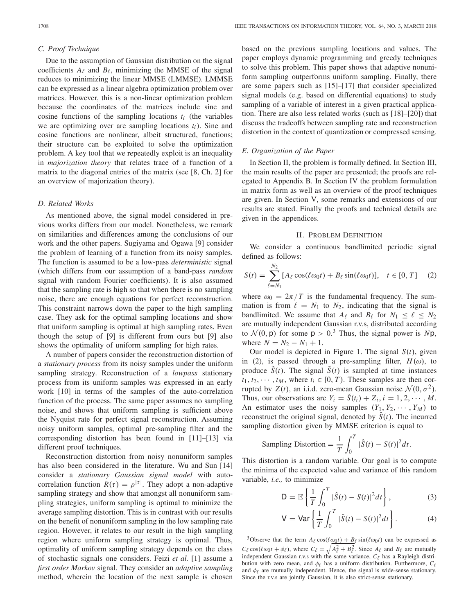## *C. Proof Technique*

Due to the assumption of Gaussian distribution on the signal coefficients  $A_{\ell}$  and  $B_{\ell}$ , minimizing the MMSE of the signal reduces to minimizing the linear MMSE (LMMSE). LMMSE can be expressed as a linear algebra optimization problem over matrices. However, this is a non-linear optimization problem because the coordinates of the matrices include sine and cosine functions of the sampling locations *ti* (the variables we are optimizing over are sampling locations  $t_i$ ). Sine and cosine functions are nonlinear, albeit structured, functions; their structure can be exploited to solve the optimization problem. A key tool that we repeatedly exploit is an inequality in *majorization theory* that relates trace of a function of a matrix to the diagonal entries of the matrix (see [8, Ch. 2] for an overview of majorization theory).

## *D. Related Works*

As mentioned above, the signal model considered in previous works differs from our model. Nonetheless, we remark on similarities and differences among the conclusions of our work and the other papers. Sugiyama and Ogawa [9] consider the problem of learning of a function from its noisy samples. The function is assumed to be a low-pass *deterministic* signal (which differs from our assumption of a band-pass *random* signal with random Fourier coefficients). It is also assumed that the sampling rate is high so that when there is no sampling noise, there are enough equations for perfect reconstruction. This constraint narrows down the paper to the high sampling case. They ask for the optimal sampling locations and show that uniform sampling is optimal at high sampling rates. Even though the setup of [9] is different from ours but [9] also shows the optimality of uniform sampling for high rates.

A number of papers consider the reconstruction distortion of a *stationary process* from its noisy samples under the uniform sampling strategy. Reconstruction of a *lowpass* stationary process from its uniform samples was expressed in an early work [10] in terms of the samples of the auto-correlation function of the process. The same paper assumes no sampling noise, and shows that uniform sampling is sufficient above the Nyquist rate for perfect signal reconstruction. Assuming noisy uniform samples, optimal pre-sampling filter and the corresponding distortion has been found in [11]–[13] via different proof techniques.

Reconstruction distortion from noisy nonuniform samples has also been considered in the literature. Wu and Sun [14] consider a *stationary Gaussian signal model* with autocorrelation function  $R(\tau) = \rho^{|\tau|}$ . They adopt a non-adaptive sampling strategy and show that amongst all nonuniform sampling strategies, uniform sampling is optimal to minimize the average sampling distortion. This is in contrast with our results on the benefit of nonuniform sampling in the low sampling rate region. However, it relates to our result in the high sampling region where uniform sampling strategy is optimal. Thus, optimality of uniform sampling strategy depends on the class of stochastic signals one considers. Feizi *et al.* [1] assume a *first order Markov* signal. They consider an *adaptive sampling* method, wherein the location of the next sample is chosen

based on the previous sampling locations and values. The paper employs dynamic programming and greedy techniques to solve this problem. This paper shows that adaptive nonuniform sampling outperforms uniform sampling. Finally, there are some papers such as [15]–[17] that consider specialized signal models (e.g. based on differential equations) to study sampling of a variable of interest in a given practical application. There are also less related works (such as [18]–[20]) that discuss the tradeoffs between sampling rate and reconstruction distortion in the context of quantization or compressed sensing.

## *E. Organization of the Paper*

In Section II, the problem is formally defined. In Section III, the main results of the paper are presented; the proofs are relegated to Appendix B. In Section IV the problem formulation in matrix form as well as an overview of the proof techniques are given. In Section V, some remarks and extensions of our results are stated. Finally the proofs and technical details are given in the appendices.

# II. PROBLEM DEFINITION

We consider a continuous bandlimited periodic signal defined as follows:

$$
S(t) = \sum_{\ell=N_1}^{N_2} [A_{\ell} \cos(\ell \omega_0 t) + B_{\ell} \sin(\ell \omega_0 t)], \quad t \in [0, T] \quad (2)
$$

where  $\omega_0 = 2\pi/T$  is the fundamental frequency. The summation is from  $\ell = N_1$  to  $N_2$ , indicating that the signal is bandlimited. We assume that  $A_\ell$  and  $B_\ell$  for  $N_1 \leq \ell \leq N_2$ are mutually independent Gaussian r.v.s, distributed according to  $\mathcal{N}(0, \mathsf{p})$  for some  $\mathsf{p} > 0.3$  Thus, the signal power is Np, where  $N = N_2 - N_1 + 1$ .

Our model is depicted in Figure 1. The signal  $S(t)$ , given in (2), is passed through a pre-sampling filter,  $H(\omega)$ , to produce  $S(t)$ . The signal  $S(t)$  is sampled at time instances  $t_1, t_2, \dots, t_M$ , where  $t_i \in [0, T)$ . These samples are then corrupted by  $Z(t)$ , an i.i.d. zero-mean Gaussian noise  $\mathcal{N}(0, \sigma^2)$ . Thus, our observations are  $Y_i = \tilde{S}(t_i) + Z_i, i = 1, 2, \dots, M$ . An estimator uses the noisy samples  $(Y_1, Y_2, \dots, Y_M)$  to reconstruct the original signal, denoted by  $\hat{S}(t)$ . The incurred sampling distortion given by MMSE criterion is equal to

Sampling Distortion 
$$
=\frac{1}{T} \int_0^T |\hat{S}(t) - S(t)|^2 dt
$$
.

This distortion is a random variable. Our goal is to compute the minima of the expected value and variance of this random variable, *i.e.,* to minimize

$$
\mathsf{D} = \mathbb{E}\left\{\frac{1}{T}\int_0^T |\hat{S}(t) - S(t)|^2 dt\right\},\tag{3}
$$

$$
\mathsf{V} = \mathsf{Var}\left\{\frac{1}{T}\int_0^T |\hat{S}(t) - S(t)|^2 dt\right\}.
$$
 (4)

<sup>3</sup>Observe that the term  $A_\ell \cos(\ell \omega_0 t) + B_\ell \sin(\ell \omega_0 t)$  can be expressed as  $C_{\ell}$  cos( $\ell \omega_0 t + \phi_{\ell}$ ), where  $C_{\ell} = \sqrt{A_{\ell}^2 + B_{\ell}^2}$ . Since  $A_{\ell}$  and  $B_{\ell}$  are mutually independent Gaussian r.v.s with the same variance,  $C_f$  has a Rayleigh distribution with zero mean, and  $\phi_{\ell}$  has a uniform distribution. Furthermore,  $C_{\ell}$ and  $\phi_{\ell}$  are mutually independent. Hence, the signal is wide-sense stationary. Since the r.v.s are jointly Gaussian, it is also strict-sense stationary.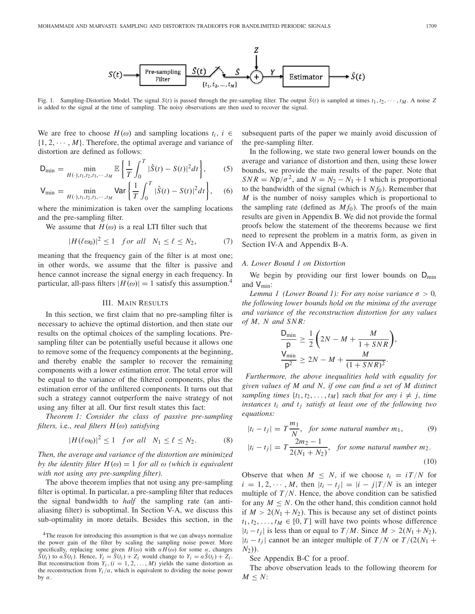

Fig. 1. Sampling-Distortion Model. The signal  $S(t)$  is passed through the pre-sampling filter. The output  $\tilde{S}(t)$  is sampled at times  $t_1, t_2, \dots, t_M$ . A noise *Z* is added to the signal at the time of sampling. The noisy observations are then used to recover the signal.

We are free to choose  $H(\omega)$  and sampling locations  $t_i$ ,  $i \in$  $\{1, 2, \dots, M\}$ . Therefore, the optimal average and variance of distortion are defined as follows:

$$
\mathsf{D}_{\min} = \min_{H(\cdot), t_1, t_2, t_3, \cdots, t_M} \mathbb{E}\left\{\frac{1}{T} \int_0^T |\hat{S}(t) - S(t)|^2 dt\right\},\tag{5}
$$

$$
V_{\min} = \min_{H(\cdot), t_1, t_2, t_3, \cdots, t_M} \text{Var}\left\{\frac{1}{T} \int_0^T |\hat{S}(t) - S(t)|^2 dt\right\},\tag{6}
$$

where the minimization is taken over the sampling locations and the pre-sampling filter.

We assume that  $H(\omega)$  is a real LTI filter such that

$$
|H(\ell\omega_0)|^2 \le 1 \quad \text{for all} \quad N_1 \le \ell \le N_2,\tag{7}
$$

meaning that the frequency gain of the filter is at most one; in other words, we assume that the filter is passive and hence cannot increase the signal energy in each frequency. In particular, all-pass filters  $|H(\omega)| = 1$  satisfy this assumption.<sup>4</sup>

#### III. MAIN RESULTS

In this section, we first claim that no pre-sampling filter is necessary to achieve the optimal distortion, and then state our results on the optimal choices of the sampling locations. Presampling filter can be potentially useful because it allows one to remove some of the frequency components at the beginning, and thereby enable the sampler to recover the remaining components with a lower estimation error. The total error will be equal to the variance of the filtered components, plus the estimation error of the unfiltered components. It turns out that such a strategy cannot outperform the naive strategy of not using any filter at all. Our first result states this fact:

*Theorem 1: Consider the class of passive pre-sampling filters,* i.e., *real filters H*(ω) *satisfying*

$$
|H(\ell\omega_0)|^2 \le 1 \quad \text{for all} \quad N_1 \le \ell \le N_2. \tag{8}
$$

*Then, the average and variance of the distortion are minimized by the identity filter*  $H(\omega) = 1$  *for all*  $\omega$  *(which is equivalent with not using any pre-sampling filter).*

The above theorem implies that not using any pre-sampling filter is optimal. In particular, a pre-sampling filter that reduces the signal bandwidth to *half* the sampling rate (an antialiasing filter) is suboptimal. In Section V-A, we discuss this sub-optimality in more details. Besides this section, in the

subsequent parts of the paper we mainly avoid discussion of the pre-sampling filter.

In the following, we state two general lower bounds on the average and variance of distortion and then, using these lower bounds, we provide the main results of the paper. Note that  $SNR = Np/\sigma^2$ , and  $N = N_2 - N_1 + 1$  which is proportional to the bandwidth of the signal (which is  $N f_0$ ). Remember that *M* is the number of noisy samples which is proportional to the sampling rate (defined as  $M f_0$ ). The proofs of the main results are given in Appendix B. We did not provide the formal proofs below the statement of the theorems because we first need to represent the problem in a matrix form, as given in Section IV-A and Appendix B-A.

## *A. Lower Bound 1 on Distortion*

We begin by providing our first lower bounds on  $D_{\min}$ and  $V_{\text{min}}$ :

*Lemma 1 (Lower Bound 1): For any noise variance*  $\sigma > 0$ , *the following lower bounds hold on the minima of the average and variance of the reconstruction distortion for any values of M, N and SNR:* 

$$
\frac{\mathsf{D}_{\min}}{\mathsf{p}} \ge \frac{1}{2} \left( 2N - M + \frac{M}{1 + SNR} \right),
$$
  

$$
\frac{\mathsf{V}_{\min}}{\mathsf{p}^2} \ge 2N - M + \frac{M}{(1 + SNR)^2}.
$$

*Furthermore, the above inequalities hold with equality for given values of M and N, if one can find a set of M distinct sampling times*  $\{t_1, t_2, \ldots, t_M\}$  *such that for any i*  $\neq$  *j, time instances ti and tj satisfy at least one of the following two equations:*

$$
|t_i - t_j| = T \frac{m_1}{N}, \text{ for some natural number } m_1,
$$
 (9)  

$$
|t_i - t_j| = T \frac{2m_2 - 1}{2(N_1 + N_2)}, \text{ for some natural number } m_2.
$$
 (10)

Observe that when  $M \leq N$ , if we choose  $t_i = i T/N$  for  $i = 1, 2, \dots, M$ , then  $|t_i - t_j| = |i - j|T/N$  is an integer multiple of  $T/N$ . Hence, the above condition can be satisfied for any  $M \leq N$ . On the other hand, this condition cannot hold if  $M > 2(N_1 + N_2)$ . This is because any set of distinct points  $t_1, t_2, \ldots, t_M \in [0, T]$  will have two points whose difference  $|t_i - t_j|$  is less than or equal to *T*/*M*. Since *M* > 2(*N*<sub>1</sub> + *N*<sub>2</sub>),  $|t_i - t_j|$  cannot be an integer multiple of  $T/N$  or  $T/(2(N_1 +$ *N*2)).

See Appendix B-C for a proof.

The above observation leads to the following theorem for  $M \leq N$ :

<sup>&</sup>lt;sup>4</sup>The reason for introducing this assumption is that we can always normalize the power gain of the filter by scaling the sampling noise power. More specifically, replacing some given  $H(\omega)$  with  $\alpha H(\omega)$  for some  $\alpha$ , changes  $S(t_i)$  to  $\alpha S(t_i)$ . Hence,  $Y_i = S(t_i) + Z_i$  would change to  $Y_i = \alpha S(t_i) + Z_i$ . But reconstruction from  $Y_i$ ,  $(i = 1, 2, ..., M)$  yields the same distortion as the reconstruction from  $Y_i/\alpha$ , which is equivalent to dividing the noise power by α.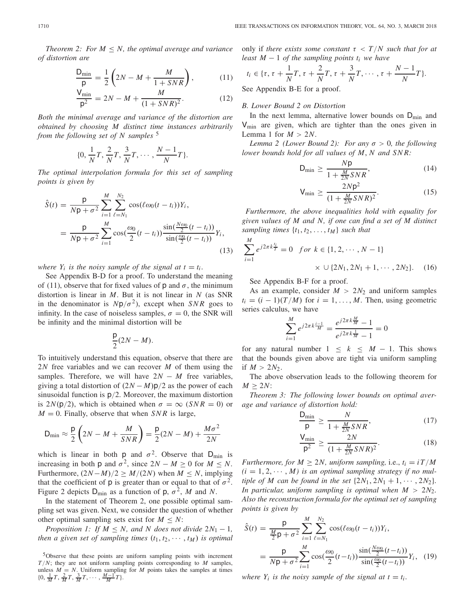*Theorem 2: For M* ≤ *N, the optimal average and variance of distortion are*

$$
\frac{\mathsf{D}_{\min}}{\mathsf{p}} = \frac{1}{2} \left( 2N - M + \frac{M}{1 + SNR} \right),\tag{11}
$$

$$
\frac{V_{\min}}{p^2} = 2N - M + \frac{M}{(1 + SNR)^2}.
$$
 (12)

*Both the minimal average and variance of the distortion are obtained by choosing M distinct time instances arbitrarily from the following set of N samples* <sup>5</sup>

$$
\{0, \frac{1}{N}T, \frac{2}{N}T, \frac{3}{N}T, \cdots, \frac{N-1}{N}T\}.
$$

*The optimal interpolation formula for this set of sampling points is given by*

$$
\hat{S}(t) = \frac{p}{Np + \sigma^2} \sum_{i=1}^{M} \sum_{\ell=N_1}^{N_2} \cos(\ell \omega_0 (t - t_i)) Y_i,
$$
  
= 
$$
\frac{p}{Np + \sigma^2} \sum_{i=1}^{M} \cos(\frac{\omega_0}{2} (t - t_i)) \frac{\sin(\frac{N\omega_0}{2} (t - t_i))}{\sin(\frac{\omega_0}{2} (t - t_i))} Y_i,
$$
(13)

*where*  $Y_i$  *is the noisy sample of the signal at t = t<sub>i</sub>.* 

See Appendix B-D for a proof. To understand the meaning of (11), observe that for fixed values of  $p$  and  $\sigma$ , the minimum distortion is linear in *M*. But it is not linear in *N* (as SNR in the denominator is  $Np/\sigma^2$ , except when *SNR* goes to infinity. In the case of noiseless samples,  $\sigma = 0$ , the SNR will be infinity and the minimal distortion will be

$$
\frac{\mathsf{p}}{2}(2N-M).
$$

To intuitively understand this equation, observe that there are 2*N* free variables and we can recover *M* of them using the samples. Therefore, we will have  $2N - M$  free variables, giving a total distortion of  $(2N - M)p/2$  as the power of each sinusoidal function is p/2. Moreover, the maximum distortion is  $2N(p/2)$ , which is obtained when  $\sigma = \infty$  (*SNR* = 0) or  $M = 0$ . Finally, observe that when *SNR* is large,

$$
\mathsf{D}_{\min} \approx \frac{\mathsf{p}}{2} \left( 2N - M + \frac{M}{SNR} \right) = \frac{\mathsf{p}}{2} (2N - M) + \frac{M\sigma^2}{2N}
$$

which is linear in both p and  $\sigma^2$ . Observe that D<sub>min</sub> is increasing in both **p** and  $\sigma^2$ , since  $2N - M \ge 0$  for  $M \le N$ . Furthermore,  $(2N-M)/2 \ge M/(2N)$  when  $M \le N$ , implying that the coefficient of **p** is greater than or equal to that of  $\sigma^2$ . Figure 2 depicts  $D_{\text{min}}$  as a function of p,  $\sigma^2$ , *M* and *N*.

In the statement of Theorem 2, one possible optimal sampling set was given. Next, we consider the question of whether other optimal sampling sets exist for  $M \leq N$ :

*Proposition 1: If*  $M \leq N$ *, and N does not divide*  $2N_1 - 1$ *, then a given set of sampling times*  $(t_1, t_2, \dots, t_M)$  *is optimal*  only if *there exists some constant* τ < *T*/*N such that for at least*  $M - 1$  *of the sampling points t<sub>i</sub> we have* 

$$
t_i \in \{\tau, \tau + \frac{1}{N}T, \tau + \frac{2}{N}T, \tau + \frac{3}{N}T, \cdots, \tau + \frac{N-1}{N}T\}.
$$

See Appendix B-E for a proof.

#### *B. Lower Bound 2 on Distortion*

In the next lemma, alternative lower bounds on  $D_{\text{min}}$  and  $V_{\text{min}}$  are given, which are tighter than the ones given in Lemma 1 for  $M > 2N$ .

*Lemma 2 (Lower Bound 2): For any*  $\sigma > 0$ *, the following lower bounds hold for all values of M*, *N and SN R:*

$$
\mathsf{D}_{\min} \ge \frac{N\mathsf{p}}{1 + \frac{M}{2N} SNR},\tag{14}
$$

$$
\mathsf{V}_{\min} \ge \frac{2Np^2}{(1 + \frac{M}{2N}SNR)^2}.\tag{15}
$$

*Furthermore, the above inequalities hold with equality for given values of M and N, if one can find a set of M distinct sampling times*  $\{t_1, t_2, \ldots, t_M\}$  *such that* 

$$
\sum_{i=1}^{M} e^{j2\pi k \frac{t_i}{T}} = 0 \quad \text{for } k \in \{1, 2, \cdots, N-1\}
$$

$$
\times \cup \{2N_1, 2N_1 + 1, \cdots, 2N_2\}. \tag{16}
$$

See Appendix B-F for a proof.

As an example, consider  $M > 2N_2$  and uniform samples  $t_i = (i - 1)(T/M)$  for  $i = 1, \ldots, M$ . Then, using geometric series calculus, we have

$$
\sum_{i=1}^{M} e^{j2\pi k \frac{i-1}{M}} = \frac{e^{j2\pi k \frac{M}{M}} - 1}{e^{j2\pi k \frac{1}{M}} - 1} = 0
$$

for any natural number  $1 \leq k \leq M - 1$ . This shows that the bounds given above are tight via uniform sampling if  $M > 2N_2$ .

The above observation leads to the following theorem for  $M > 2N$ :

*Theorem 3: The following lower bounds on optimal average and variance of distortion hold:*

$$
\frac{\mathsf{D}_{\min}}{\mathsf{p}} \ge \frac{N}{1 + \frac{M}{2N} SNR},\tag{17}
$$

$$
\frac{V_{\min}}{p^2} \ge \frac{2N}{(1 + \frac{M}{2N} SNR)^2}.
$$
 (18)

*Furthermore, for M > 2N, uniform sampling, i.e.,*  $t_i = iT/M$  $(i = 1, 2, \dots, M)$  is an optimal sampling strategy if no mul*tiple of M can be found in the set*  $\{2N_1, 2N_1 + 1, \cdots, 2N_2\}$ . *In particular, uniform sampling is optimal when*  $M > 2N_2$ *. Also the reconstruction formula for the optimal set of sampling points is given by*

$$
\hat{S}(t) = \frac{p}{\frac{M}{2}p + \sigma^2} \sum_{i=1}^{M} \sum_{\ell=N_1}^{N_2} \cos(\ell \omega_0 (t - t_i)) Y_i,
$$
  
= 
$$
\frac{p}{Np + \sigma^2} \sum_{i=1}^{M} \cos(\frac{\omega_0}{2} (t - t_i)) \frac{\sin(\frac{N\omega_0}{2} (t - t_i))}{\sin(\frac{\omega_0}{2} (t - t_i))} Y_i,
$$
 (19)

*where*  $Y_i$  *is the noisy sample of the signal at t = t<sub>i</sub>.* 

<sup>5</sup>Observe that these points are uniform sampling points with increment *T*/*N*; they are not uniform sampling points corresponding to *M* samples, unless  $M = N$ . Uniform sampling for *M* points takes the samples at times  $\{0, \frac{1}{M}T, \frac{2}{M}T, \frac{3}{M}T, \cdots, \frac{M-1}{M}T\}$ .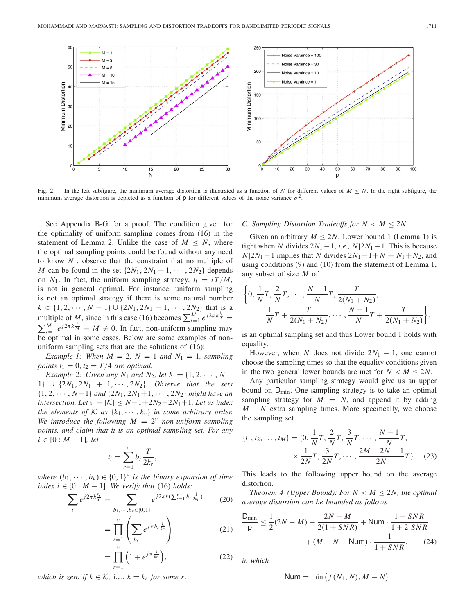

Fig. 2. In the left subfigure, the minimum average distortion is illustrated as a function of *N* for different values of  $M \le N$ . In the right subfigure, the minimum average distortion is depicted as a function of p for different values of the noise variance  $\sigma^2$ .

See Appendix B-G for a proof. The condition given for the optimality of uniform sampling comes from (16) in the statement of Lemma 2. Unlike the case of  $M \leq N$ , where the optimal sampling points could be found without any need to know  $N_1$ , observe that the constraint that no multiple of *M* can be found in the set  $\{2N_1, 2N_1 + 1, \dots, 2N_2\}$  depends on  $N_1$ . In fact, the uniform sampling strategy,  $t_i = iT/M$ , is not in general optimal. For instance, uniform sampling is not an optimal strategy if there is some natural number  $k$  ∈ {1, 2, ···, *N* − 1}∪ {2*N*<sub>1</sub>, 2*N*<sub>1</sub> + 1, ···, 2*N*<sub>2</sub>} that is a multiple of *M*, since in this case (16) becomes  $\sum_{i=1}^{M} e^{j2\pi k \frac{t_i}{T}} =$  $\sum_{i=1}^{M} e^{j2\pi k \frac{i}{M}} = M \neq 0$ . In fact, non-uniform sampling may be optimal in some cases. Below are some examples of nonuniform sampling sets that are the solutions of (16):

*Example 1: When*  $M = 2$ ,  $N = 1$  *and*  $N_1 = 1$ , *sampling points*  $t_1 = 0$ ,  $t_2 = T/4$  *are optimal.* 

*Example 2: Given any*  $N_1$  *and*  $N_2$ *, let*  $K = \{1, 2, \dots, N - 1\}$ 1}∪{2*N*1, 2*N*<sup>1</sup> + 1,··· , 2*N*2}*. Observe that the sets* {1, 2,··· , *N* −1} *and* {2*N*1, 2*N*1+1,··· , 2*N*2} *might have an intersection. Let*  $\nu = |\mathcal{K}| \leq N - 1 + 2N_2 - 2N_1 + 1$ *. Let us index the elements of*  $K$  *as*  $\{k_1, \dots, k_v\}$  *in some arbitrary order. We introduce the following*  $M = 2^v$  *non-uniform sampling points, and claim that it is an optimal sampling set. For any i* ∈ [0 : *M* − 1]*, let*

$$
t_i = \sum_{r=1}^{\nu} b_r \frac{T}{2k_r},
$$

*where*  $(b_1, \dots, b_v) \in \{0, 1\}^v$  *is the binary expansion of time index i* ∈ [0 :  $M - 1$ ]*. We verify that* (16) *holds:* 

$$
\sum_{i} e^{j2\pi k \frac{t_i}{T}} = \sum_{b_1, \dots, b_v \in \{0, 1\}} e^{j2\pi k (\sum_{r=1}^v b_r \frac{1}{2kr})}
$$
(20)

$$
= \prod_{r=1}^{\nu} \left( \sum_{b_r} e^{j\pi b_r \frac{k}{k_r}} \right)
$$
(21)

$$
=\prod_{r=1}\left(1+e^{j\pi\frac{k}{k_r}}\right),\tag{22}
$$

*which is zero if*  $k \in \mathcal{K}$ , i.e.,  $k = k_r$  *for some r.* 

# *C. Sampling Distortion Tradeoffs for*  $N < M \leq 2N$

Given an arbitrary  $M < 2N$ , Lower bound 1 (Lemma 1) is tight when *N* divides  $2N_1 - 1$ , *i.e.*,  $N|2N_1 - 1$ . This is because  $N|2N_1-1$  implies that *N* divides  $2N_1-1+N = N_1+N_2$ , and using conditions (9) and (10) from the statement of Lemma 1, any subset of size *M* of

$$
\left\{0, \frac{1}{N}T, \frac{2}{N}T, \cdots, \frac{N-1}{N}T, \frac{T}{2(N_1+N_2)}, \frac{1}{2(N_1+N_2)}, \frac{N-1}{N}T + \frac{T}{2(N_1+N_2)}\right\},\right\}
$$

is an optimal sampling set and thus Lower bound 1 holds with equality.

However, when *N* does not divide  $2N_1 - 1$ , one cannot choose the sampling times so that the equality conditions given in the two general lower bounds are met for  $N < M < 2N$ .

Any particular sampling strategy would give us an upper bound on  $D_{\text{min}}$ . One sampling strategy is to take an optimal sampling strategy for  $M = N$ , and append it by adding  $M - N$  extra sampling times. More specifically, we choose the sampling set

$$
\{t_1, t_2, \dots, t_M\} = \{0, \frac{1}{N}T, \frac{2}{N}T, \frac{3}{N}T, \dots, \frac{N-1}{N}T, \times \frac{1}{2N}T, \frac{3}{2N}T, \dots, \frac{2M-2N-1}{2N}T\}.
$$
 (23)

This leads to the following upper bound on the average distortion.

*Theorem 4 (Upper Bound): For*  $N < M < 2N$ , the optimal *average distortion can be bounded as follows*

$$
\frac{\mathsf{D}_{\min}}{\mathsf{p}} \le \frac{1}{2}(2N - M) + \frac{2N - M}{2(1 + SNR)} + \mathsf{Num} \cdot \frac{1 + SNR}{1 + 2 SNR} + (M - N - \mathsf{Num}) \cdot \frac{1}{1 + SNR},\tag{24}
$$

*in which*

$$
\mathsf{Num} = \min\big(f(N_1, N), M - N\big)
$$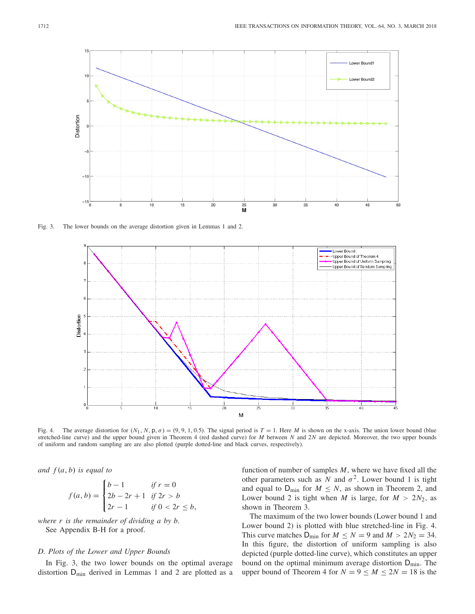

Fig. 3. The lower bounds on the average distortion given in Lemmas 1 and 2.



Fig. 4. The average distortion for  $(N_1, N, p, \sigma) = (9, 9, 1, 0.5)$ . The signal period is  $T = 1$ . Here *M* is shown on the x-axis. The union lower bound (blue stretched-line curve) and the upper bound given in Theorem 4 (red dashed curve) for *M* between *N* and 2*N* are depicted. Moreover, the two upper bounds of uniform and random sampling are are also plotted (purple dotted-line and black curves, respectively).

*and f* (*a*, *b*) *is equal to*

$$
f(a,b) = \begin{cases} b-1 & \text{if } r = 0\\ 2b - 2r + 1 & \text{if } 2r > b\\ 2r - 1 & \text{if } 0 < 2r \le b, \end{cases}
$$

*where r is the remainder of dividing a by b.* See Appendix B-H for a proof.

## *D. Plots of the Lower and Upper Bounds*

In Fig. 3, the two lower bounds on the optimal average distortion  $D_{\text{min}}$  derived in Lemmas 1 and 2 are plotted as a function of number of samples *M*, where we have fixed all the other parameters such as *N* and  $\sigma^2$ . Lower bound 1 is tight and equal to  $D_{\min}$  for  $M \leq N$ , as shown in Theorem 2, and Lower bound 2 is tight when *M* is large, for  $M > 2N_2$ , as shown in Theorem 3.

The maximum of the two lower bounds (Lower bound 1 and Lower bound 2) is plotted with blue stretched-line in Fig. 4. This curve matches  $D_{\text{min}}$  for  $M \le N = 9$  and  $M > 2N_2 = 34$ . In this figure, the distortion of uniform sampling is also depicted (purple dotted-line curve), which constitutes an upper bound on the optimal minimum average distortion  $D_{\text{min}}$ . The upper bound of Theorem 4 for  $N = 9 \le M \le 2N = 18$  is the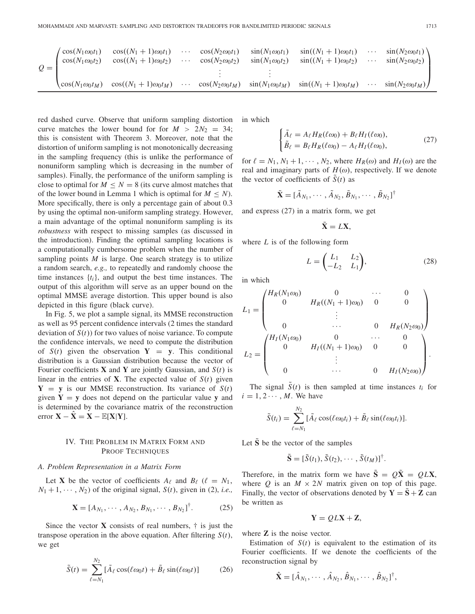|  | $\cos(N_1\omega_0 t_1)$<br>$cos(N_1\omega_0t_2)$ | $cos((N_1 + 1)\omega_0 t_1)$<br>$cos((N_1 + 1)\omega_0 t_2)$ | $\cdots$<br>$\cdots$ | $\cos(N_2\omega_0 t_1)$<br>$cos(N_2\omega_0t_2)$ | $\sin(N_1\omega_0 t_1)$<br>$sin(N_1\omega_0t_2)$ | $sin((N_1 + 1)\omega_0 t_1)$<br>$sin((N_1 + 1)\omega_0 t_2)$ | $\cdots$<br>$\cdots$ | $\sin(N_2\omega_0t_1)$<br>$\sin(N_2\omega_0t_2)$ |
|--|--------------------------------------------------|--------------------------------------------------------------|----------------------|--------------------------------------------------|--------------------------------------------------|--------------------------------------------------------------|----------------------|--------------------------------------------------|
|  | $\cos(N_1 \omega_0 t_M)$                         | $\cos((N_1+1)\omega_0 t_M)$                                  | $\cdots$             | $cos(N_2\omega_0 t_M)$                           | $sin(N_1\omega_0 t_M)$                           | $sin((N_1+1)\omega_0 t_M)$                                   | $\cdots$             | $\sin(N_2\omega_0 t_M)$                          |

red dashed curve. Observe that uniform sampling distortion curve matches the lower bound for for  $M > 2N_2 = 34$ ; this is consistent with Theorem 3. Moreover, note that the distortion of uniform sampling is not monotonically decreasing in the sampling frequency (this is unlike the performance of nonuniform sampling which is decreasing in the number of samples). Finally, the performance of the uniform sampling is close to optimal for  $M \leq N = 8$  (its curve almost matches that of the lower bound in Lemma 1 which is optimal for  $M \leq N$ ). More specifically, there is only a percentage gain of about 0.3 by using the optimal non-uniform sampling strategy. However, a main advantage of the optimal nonuniform sampling is its *robustness* with respect to missing samples (as discussed in the introduction). Finding the optimal sampling locations is a computationally cumbersome problem when the number of sampling points *M* is large. One search strategy is to utilize a random search, *e.g.,* to repeatedly and randomly choose the time instances {*ti*}, and output the best time instances. The output of this algorithm will serve as an upper bound on the optimal MMSE average distortion. This upper bound is also depicted in this figure (black curve).

In Fig. 5, we plot a sample signal, its MMSE reconstruction as well as 95 percent confidence intervals (2 times the standard deviation of  $S(t)$ ) for two values of noise variance. To compute the confidence intervals, we need to compute the distribution of  $S(t)$  given the observation **Y** = **y**. This conditional distribution is a Gaussian distribution because the vector of Fourier coefficients **X** and **Y** are jointly Gaussian, and *S*(*t*) is linear in the entries of **X**. The expected value of  $S(t)$  given  $Y = y$  is our MMSE reconstruction. Its variance of  $S(t)$ given  $Y = y$  does not depend on the particular value y and is determined by the covariance matrix of the reconstruction error  $\mathbf{X} - \hat{\mathbf{X}} = \mathbf{X} - \mathbb{E}[\mathbf{X}|\mathbf{Y}].$ 

# IV. THE PROBLEM IN MATRIX FORM AND PROOF TECHNIQUES

#### *A. Problem Representation in a Matrix Form*

Let **X** be the vector of coefficients  $A_\ell$  and  $B_\ell$  ( $\ell = N_1$ ,  $N_1 + 1, \dots, N_2$  of the original signal,  $S(t)$ , given in (2), *i.e.*,

$$
\mathbf{X} = [A_{N_1}, \cdots, A_{N_2}, B_{N_1}, \cdots, B_{N_2}]^{\dagger}.
$$
 (25)

Since the vector **X** consists of real numbers,  $\dagger$  is just the transpose operation in the above equation. After filtering  $S(t)$ , we get

$$
\tilde{S}(t) = \sum_{\ell=N_1}^{N_2} [\tilde{A}_{\ell} \cos(\ell \omega_0 t) + \tilde{B}_{\ell} \sin(\ell \omega_0 t)] \tag{26}
$$

in which

$$
\begin{cases} \tilde{A}_{\ell} = A_{\ell} H_R(\ell \omega_0) + B_{\ell} H_I(\ell \omega_0), \\ \tilde{B}_{\ell} = B_{\ell} H_R(\ell \omega_0) - A_{\ell} H_I(\ell \omega_0), \end{cases} \tag{27}
$$

for  $\ell = N_1, N_1 + 1, \cdots, N_2$ , where  $H_R(\omega)$  and  $H_I(\omega)$  are the real and imaginary parts of  $H(\omega)$ , respectively. If we denote the vector of coefficients of  $S(t)$  as

$$
\tilde{\textbf{X}} = [\tilde{A}_{N_1},\cdots, \tilde{A}_{N_2}, \tilde{B}_{N_1},\cdots, \tilde{B}_{N_2}]^\dagger
$$

and express (27) in a matrix form, we get

$$
\tilde{\mathbf{X}} = L\mathbf{X},
$$

where *L* is of the following form

$$
L = \begin{pmatrix} L_1 & L_2 \\ -L_2 & L_1 \end{pmatrix},\tag{28}
$$

in which

$$
L_1 = \begin{pmatrix} H_R(N_1\omega_0) & 0 & \cdots & 0 \\ 0 & H_R((N_1+1)\omega_0) & 0 & 0 \\ & \vdots & & 0 & H_R(N_2\omega_0) \\ 0 & \cdots & 0 & H_R(N_2\omega_0) \end{pmatrix}
$$

$$
L_2 = \begin{pmatrix} H_I(N_1\omega_0) & 0 & \cdots & 0 \\ 0 & H_I((N_1+1)\omega_0) & 0 & 0 \\ & \vdots & & 0 & H_I(N_2\omega_0) \end{pmatrix}.
$$

The signal  $S(t)$  is then sampled at time instances  $t_i$  for  $i = 1, 2 \cdots, M$ . We have

$$
\tilde{S}(t_i) = \sum_{\ell=N_1}^{N_2} [\tilde{A}_{\ell} \cos(\ell \omega_0 t_i) + \tilde{B}_{\ell} \sin(\ell \omega_0 t_i)].
$$

Let  $\tilde{S}$  be the vector of the samples

$$
\tilde{\mathbf{S}} = [\tilde{S}(t_1), \tilde{S}(t_2), \cdots, \tilde{S}(t_M)]^{\dagger}.
$$

Therefore, in the matrix form we have  $\tilde{S} = O\tilde{X} = OLX$ , where Q is an  $M \times 2N$  matrix given on top of this page. Finally, the vector of observations denoted by  $Y = S + Z$  can be written as

$$
Y = QLX + Z,
$$

where **Z** is the noise vector.

Estimation of  $S(t)$  is equivalent to the estimation of its Fourier coefficients. If we denote the coefficients of the reconstruction signal by

$$
\hat{\mathbf{X}} = [\hat{A}_{N_1}, \cdots, \hat{A}_{N_2}, \hat{B}_{N_1}, \cdots, \hat{B}_{N_2}]^{\dagger},
$$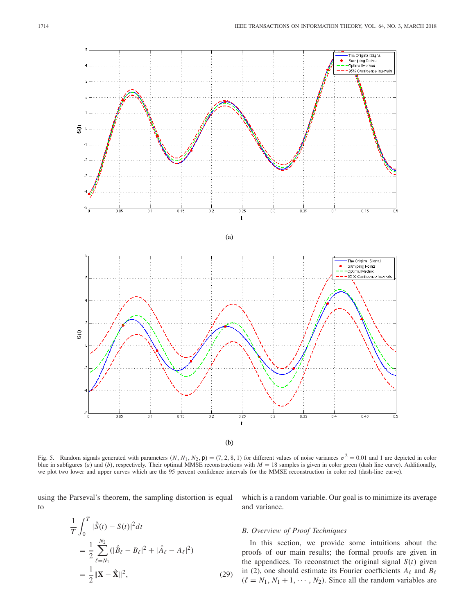

Fig. 5. Random signals generated with parameters  $(N, N_1, N_2, p) = (7, 2, 8, 1)$  for different values of noise variances  $\sigma^2 = 0.01$  and 1 are depicted in color blue in subfigures (*a*) and (*b*), respectively. Their optimal MMSE reconstructions with  $M = 18$  samples is given in color green (dash line curve). Additionally, we plot two lower and upper curves which are the 95 percent confidence intervals for the MMSE reconstruction in color red (dash-line curve).

using the Parseval's theorem, the sampling distortion is equal to

$$
\frac{1}{T} \int_0^T |\hat{S}(t) - S(t)|^2 dt
$$
\n
$$
= \frac{1}{2} \sum_{\ell=N_1}^{N_2} (|\hat{B}_{\ell} - B_{\ell}|^2 + |\hat{A}_{\ell} - A_{\ell}|^2)
$$
\n
$$
= \frac{1}{2} ||\mathbf{X} - \hat{\mathbf{X}}||^2,
$$
\n(29)

which is a random variable. Our goal is to minimize its average and variance.

# *B. Overview of Proof Techniques*

In this section, we provide some intuitions about the proofs of our main results; the formal proofs are given in the appendices. To reconstruct the original signal  $S(t)$  given in (2), one should estimate its Fourier coefficients  $A_\ell$  and  $B_\ell$  $(\ell = N_1, N_1 + 1, \cdots, N_2)$ . Since all the random variables are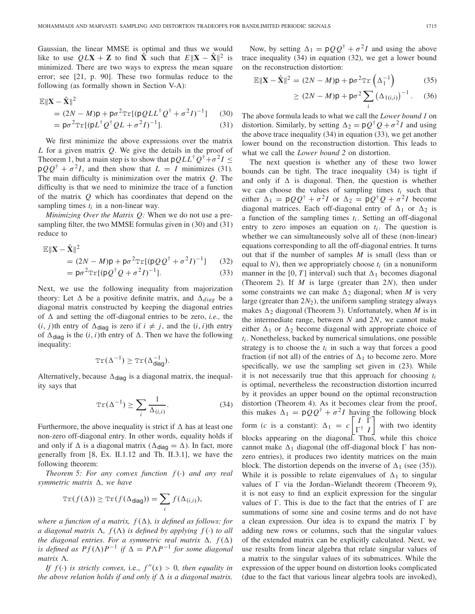Gaussian, the linear MMSE is optimal and thus we would like to use  $QLX + Z$  to find  $\hat{X}$  such that  $E\|X - \hat{X}\|^2$  is minimized. There are two ways to express the mean square error; see [21, p. 90]. These two formulas reduce to the following (as formally shown in Section V-A):

$$
\mathbb{E} \|\mathbf{X} - \hat{\mathbf{X}}\|^2
$$
  
=  $(2N - M)\mathbf{p} + \mathbf{p}\sigma^2 \text{Tr}[(\mathbf{p}QLL^\dagger Q^\dagger + \sigma^2 I)^{-1}]$  (30)  
=  $\mathbf{p}\sigma^2 \text{Tr}[(\mathbf{p}L^\dagger Q^\dagger QL + \sigma^2 I)^{-1}].$  (31)

We first minimize the above expressions over the matrix *L* for a given matrix *Q*. We give the details in the proof of Theorem 1, but a main step is to show that  $p Q L L^{\dagger} Q^{\dagger} + \sigma^2 I \leq$  $pQQ^{\dagger} + \sigma^2 I$ , and then show that  $L = I$  minimizes (31). The main difficulty is minimization over the matrix *Q*. The difficulty is that we need to minimize the trace of a function of the matrix *Q* which has coordinates that depend on the sampling times *ti* in a non-linear way.

*Minimizing Over the Matrix Q:* When we do not use a presampling filter, the two MMSE formulas given in (30) and (31) reduce to

$$
\mathbb{E} \|\mathbf{X} - \hat{\mathbf{X}}\|^2 = (2N - M)\mathsf{p} + \mathsf{p}\sigma^2 \text{Tr}[(\mathsf{p}QQ^{\dagger} + \sigma^2 I)^{-1}] \tag{32}
$$

$$
= \mathsf{p}\sigma^2 \mathrm{Tr}[(\mathsf{p}\mathcal{Q}^\dagger \mathcal{Q} + \sigma^2 I)^{-1}]. \tag{33}
$$

Next, we use the following inequality from majorization theory: Let  $\Delta$  be a positive definite matrix, and  $\Delta_{diag}$  be a diagonal matrix constructed by keeping the diagonal entries of  $\Delta$  and setting the off-diagonal entries to be zero, *i.e.*, the  $(i, j)$ th entry of  $\Delta_{\text{diag}}$  is zero if  $i \neq j$ , and the  $(i, i)$ th entry of  $\Delta_{\text{diag}}$  is the  $(i, i)$ th entry of  $\Delta$ . Then we have the following inequality:

$$
\text{Tr}(\Delta^{-1}) \geq \text{Tr}(\Delta_{\text{diag}}^{-1}).
$$

Alternatively, because  $\Delta_{\text{diag}}$  is a diagonal matrix, the inequality says that

$$
\operatorname{Tr}(\Delta^{-1}) \ge \sum_{i} \frac{1}{\Delta_{(i,i)}}.
$$
 (34)

Furthermore, the above inequality is strict if  $\Delta$  has at least one non-zero off-diagonal entry. In other words, equality holds if and only if  $\Delta$  is a diagonal matrix ( $\Delta_{\text{diag}} = \Delta$ ). In fact, more generally from [8, Ex. II.1.12 and Th. II.3.1], we have the following theorem:

*Theorem 5: For any convex function f* (·) *and any real symmetric matrix*  $\Delta$ *, we have* 

$$
\operatorname{Tr}(f(\Delta)) \geq \operatorname{Tr}(f(\Delta_{\text{diag}})) = \sum_{i} f(\Delta_{(i,i)}),
$$

*where a function of a matrix,*  $f(\Delta)$ *, is defined as follows: for a diagonal matrix*  $\Lambda$ ,  $f(\Lambda)$  *is defined by applying*  $f(\cdot)$  *to all the diagonal entries. For a symmetric real matrix*  $\Delta$ ,  $f(\Delta)$ *is defined as*  $Pf(\Lambda)P^{-1}$  *if*  $\Delta = P\Lambda P^{-1}$  *for some diagonal* matrix  $\Lambda$ .

*If*  $f(\cdot)$  *is strictly convex, i.e.,*  $f''(x) > 0$ *, then equality in the above relation holds if and only if*  $\Delta$  *is a diagonal matrix.* 

Now, by setting  $\Delta_1 = pQQ^{\dagger} + \sigma^2 I$  and using the above trace inequality (34) in equation (32), we get a lower bound on the reconstruction distortion:

$$
\mathbb{E}\|\mathbf{X} - \hat{\mathbf{X}}\|^2 = (2N - M)\mathsf{p} + \mathsf{p}\sigma^2 \mathrm{Tr}\left(\Delta_1^{-1}\right) \tag{35}
$$

$$
\geq (2N-M)\mathsf{p} + \mathsf{p}\sigma^2 \sum_i \left(\Delta_{1(i,i)}\right)^{-1}.\tag{36}
$$

The above formula leads to what we call the *Lower bound 1* on distortion. Similarly, by setting  $\Delta_2 = \rho O^{\dagger} O + \sigma^2 I$  and using the above trace inequality (34) in equation (33), we get another lower bound on the reconstruction distortion. This leads to what we call the *Lower bound 2* on distortion.

The next question is whether any of these two lower bounds can be tight. The trace inequality (34) is tight if and only if  $\Delta$  is diagonal. Then, the question is whether we can choose the values of sampling times  $t_i$  such that either  $\Delta_1 = \rho Q Q^{\dagger} + \sigma^2 I$  or  $\Delta_2 = \rho Q^{\dagger} Q + \sigma^2 I$  become diagonal matrices. Each off-diagonal entry of  $\Delta_1$  or  $\Delta_2$  is a function of the sampling times  $t_i$ . Setting an off-diagonal entry to zero imposes an equation on  $t_i$ . The question is whether we can simultaneously solve all of these (non-linear) equations corresponding to all the off-diagonal entries. It turns out that if the number of samples *M* is small (less than or equal to  $N$ ), then we appropriately choose  $t_i$  (in a nonuniform manner in the [0, *T*] interval) such that  $\Delta_1$  becomes diagonal (Theorem 2). If *M* is large (greater than 2*N*), then under some constraints we can make  $\Delta_2$  diagonal; when *M* is very large (greater than 2*N*2), the uniform sampling strategy always makes  $\Delta_2$  diagonal (Theorem 3). Unfortunately, when *M* is in the intermediate range, between *N* and 2*N*, we cannot make either  $\Delta_1$  or  $\Delta_2$  become diagonal with appropriate choice of *ti* . Nonetheless, backed by numerical simulations, one possible strategy is to choose the  $t_i$  in such a way that forces a good fraction (if not all) of the entries of  $\Delta_1$  to become zero. More specifically, we use the sampling set given in  $(23)$ . While it is not necessarily true that this approach for choosing *ti* is optimal, nevertheless the reconstruction distortion incurred by it provides an upper bound on the optimal reconstruction distortion (Theorem 4). As it becomes clear from the proof, this makes  $\Delta_1 = pQQ^{\dagger} + \sigma^2 I$  having the following block form (*c* is a constant):  $\Delta_1 = c \begin{bmatrix} I & \Gamma \\ \Gamma^{\dagger} & I \end{bmatrix}$ † *I* with two identity blocks appearing on the diagonal. Thus, while this choice cannot make  $\Delta_1$  diagonal (the off-diagonal block  $\Gamma$  has nonzero entries), it produces two identity matrices on the main block. The distortion depends on the inverse of  $\Delta_1$  (see (35)). While it is possible to relate eigenvalues of  $\Delta_1$  to singular values of  $\Gamma$  via the Jordan–Wielandt theorem (Theorem 9), it is not easy to find an explicit expression for the singular values of  $\Gamma$ . This is due to the fact that the entries of  $\Gamma$  are summations of some sine and cosine terms and do not have a clean expression. Our idea is to expand the matrix  $\Gamma$  by adding new rows or columns, such that the singular values of the extended matrix can be explicitly calculated. Next, we use results from linear algebra that relate singular values of a matrix to the singular values of its submatrices. While the expression of the upper bound on distortion looks complicated (due to the fact that various linear algebra tools are invoked),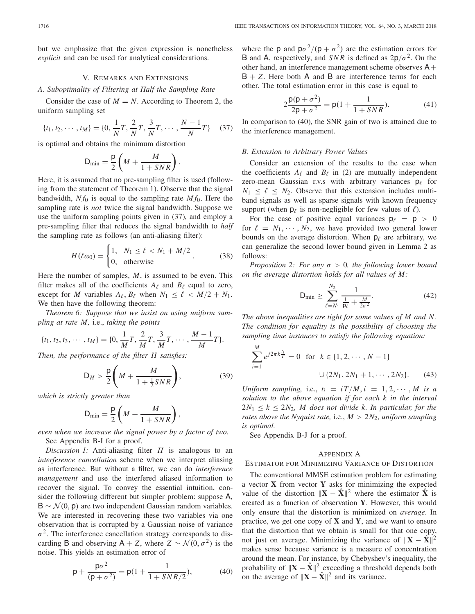but we emphasize that the given expression is nonetheless *explicit* and can be used for analytical considerations.

## V. REMARKS AND EXTENSIONS

*A. Suboptimality of Filtering at Half the Sampling Rate*

Consider the case of  $M = N$ . According to Theorem 2, the uniform sampling set

$$
\{t_1, t_2, \cdots, t_M\} = \{0, \frac{1}{N}T, \frac{2}{N}T, \frac{3}{N}T, \cdots, \frac{N-1}{N}T\}
$$
 (37)

is optimal and obtains the minimum distortion

$$
\mathsf{D}_{\min} = \frac{\mathsf{p}}{2} \left( M + \frac{M}{1 + SNR} \right).
$$

Here, it is assumed that no pre-sampling filter is used (following from the statement of Theorem 1). Observe that the signal bandwidth,  $N f_0$  is equal to the sampling rate  $M f_0$ . Here the sampling rate is *not* twice the signal bandwidth. Suppose we use the uniform sampling points given in (37), and employ a pre-sampling filter that reduces the signal bandwidth to *half* the sampling rate as follows (an anti-aliasing filter):

$$
H(\ell \omega_0) = \begin{cases} 1, & N_1 \le \ell < N_1 + M/2 \\ 0, & \text{otherwise} \end{cases} \tag{38}
$$

Here the number of samples, *M*, is assumed to be even. This filter makes all of the coefficients  $A_\ell$  and  $B_\ell$  equal to zero, except for *M* variables  $A_{\ell}$ ,  $B_{\ell}$  when  $N_1 \leq \ell \leq M/2 + N_1$ . We then have the following theorem:

*Theorem 6: Suppose that we insist on using uniform sampling at rate M,* i.e., *taking the points*

$$
\{t_1, t_2, t_3, \cdots, t_M\} = \{0, \frac{1}{M}T, \frac{2}{M}T, \frac{3}{M}T, \cdots, \frac{M-1}{M}T\}.
$$

*Then, the performance of the filter H satisfies:*

$$
\mathsf{D}_H > \frac{\mathsf{p}}{2} \left( M + \frac{M}{1 + \frac{1}{2} SNR} \right),\tag{39}
$$

*which is strictly greater than*

$$
\mathsf{D}_{\min} = \frac{\mathsf{p}}{2} \left( M + \frac{M}{1 + SNR} \right),
$$

*even when we increase the signal power by a factor of two.*

See Appendix B-I for a proof.

*Discussion 1:* Anti-aliasing filter *H* is analogous to an *interference cancellation* scheme when we interpret aliasing as interference. But without a filter, we can do *interference management* and use the interfered aliased information to recover the signal. To convey the essential intuition, consider the following different but simpler problem: suppose A, B ~ *N*(0, p) are two independent Gaussian random variables. We are interested in recovering these two variables via one observation that is corrupted by a Gaussian noise of variance  $\sigma^2$ . The interference cancellation strategy corresponds to discarding B and observing  $A + Z$ , where  $Z \sim \mathcal{N}(0, \sigma^2)$  is the noise. This yields an estimation error of

$$
p + \frac{p\sigma^2}{(p + \sigma^2)} = p(1 + \frac{1}{1 + SNR/2}),
$$
 (40)

where the p and  $p\sigma^2/(p + \sigma^2)$  are the estimation errors for B and A, respectively, and *SNR* is defined as  $2p/\sigma^2$ . On the other hand, an interference management scheme observes  $A+$  $B + Z$ . Here both A and B are interference terms for each other. The total estimation error in this case is equal to

$$
2\frac{p(p+\sigma^2)}{2p+\sigma^2} = p(1 + \frac{1}{1+SNR}).
$$
 (41)

In comparison to (40), the SNR gain of two is attained due to the interference management.

#### *B. Extension to Arbitrary Power Values*

Consider an extension of the results to the case when the coefficients  $A_{\ell}$  and  $B_{\ell}$  in (2) are mutually independent zero-mean Gaussian r.v.s with arbitrary variances  $p_f$  for  $N_1 \leq \ell \leq N_2$ . Observe that this extension includes multiband signals as well as sparse signals with known frequency support (when  $p_\ell$  is non-negligible for few values of  $\ell$ ).

For the case of positive equal variances  $p_f = p > 0$ for  $\ell = N_1, \cdots, N_2$ , we have provided two general lower bounds on the average distortion. When  $p_\ell$  are arbitrary, we can generalize the second lower bound given in Lemma 2 as follows:

*Proposition 2: For any* σ > 0*, the following lower bound on the average distortion holds for all values of M:*

$$
D_{\min} \ge \sum_{\ell=N_1}^{N_2} \frac{1}{\frac{1}{p_\ell} + \frac{M}{2\sigma^2}}.
$$
 (42)

*The above inequalities are tight for some values of M and N. The condition for equality is the possibility of choosing the sampling time instances to satisfy the following equation:*

$$
\sum_{i=1}^{M} e^{j2\pi k \frac{t_i}{T}} = 0 \text{ for } k \in \{1, 2, \cdots, N - 1\}
$$

$$
\cup \{2N_1, 2N_1 + 1, \cdots, 2N_2\}. \tag{43}
$$

*Uniform sampling, i.e.,*  $t_i = iT/M$ ,  $i = 1, 2, \dots, M$  *is a solution to the above equation if for each k in the interval*  $2N_1 \leq k \leq 2N_2$ , *M* does not divide k. In particular, for the *rates above the Nyquist rate, i.e.,*  $M > 2N_2$ *, uniform sampling is optimal.*

See Appendix B-J for a proof.

#### APPENDIX A

#### ESTIMATOR FOR MINIMIZING VARIANCE OF DISTORTION

The conventional MMSE estimation problem for estimating a vector **X** from vector **Y** asks for minimizing the expected value of the distortion  $||\mathbf{X} - \hat{\mathbf{X}}||^2$  where the estimator  $\hat{\mathbf{X}}$  is created as a function of observation **Y**. However, this would only ensure that the distortion is minimized on *average*. In practice, we get one copy of **X** and **Y**, and we want to ensure that the distortion that we obtain is small for that one copy, not just on average. Minimizing the variance of  $||\mathbf{X} - \hat{\mathbf{X}}||^2$ makes sense because variance is a measure of concentration around the mean. For instance, by Chebyshev's inequality, the probability of  $||\mathbf{X} - \hat{\mathbf{X}}||^2$  exceeding a threshold depends both on the average of  $||\mathbf{X} - \hat{\mathbf{X}}||^2$  and its variance.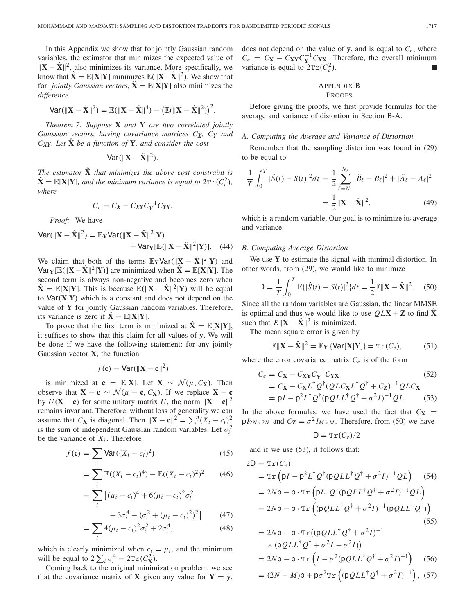In this Appendix we show that for jointly Gaussian random variables, the estimator that minimizes the expected value of  $||\mathbf{X} - \hat{\mathbf{X}}||^2$ , also minimizes its variance. More specifically, we know that  $\hat{\mathbf{X}} = \mathbb{E}[\mathbf{X}|\mathbf{Y}]$  minimizes  $\mathbb{E}(\|\mathbf{X}-\hat{\mathbf{X}}\|^2)$ . We show that for *jointly Gaussian vectors*,  $\ddot{\mathbf{X}} = \mathbb{E}[\mathbf{X}|\mathbf{Y}]$  also minimizes the *difference*

$$
\text{Var}(\|\mathbf{X} - \hat{\mathbf{X}}\|^2) = \mathbb{E}(\|\mathbf{X} - \hat{\mathbf{X}}\|^4) - \left(\mathbb{E}(\|\mathbf{X} - \hat{\mathbf{X}}\|^2)\right)^2.
$$

*Theorem 7: Suppose* **X** *and* **Y** *are two correlated jointly Gaussian vectors, having covariance matrices CX, C<sup>Y</sup> and*  $C_{XY}$ *. Let*  $\hat{X}$  *be a function of*  $Y$ *, and consider the cost* 

$$
\text{Var}(\|\mathbf{X}-\hat{\mathbf{X}}\|^2).
$$

*The estimator*  $\hat{\mathbf{X}}$  *that minimizes the above cost constraint is*  $\hat{\mathbf{X}} = \mathbb{E}[\mathbf{X}|\mathbf{Y}]$ , and the minimum variance is equal to  $2\text{Tr}(C_e^2)$ , *where*

$$
C_e = C_X - C_{XY} C_Y^{-1} C_{YX}.
$$

*Proof:* We have

$$
\begin{aligned} \text{Var}(\|\mathbf{X} - \hat{\mathbf{X}}\|^2) &= \mathbb{E}_{\mathbf{Y}} \text{Var}(\|\mathbf{X} - \hat{\mathbf{X}}\|^2 | \mathbf{Y}) \\ &+ \text{Var}_{\mathbf{Y}}[\mathbb{E}(\|\mathbf{X} - \hat{\mathbf{X}}\|^2 | \mathbf{Y})]. \end{aligned} \tag{44}
$$

We claim that both of the terms  $\mathbb{E}_{\mathbf{Y}} \text{Var}(\|\mathbf{X} - \hat{\mathbf{X}}\|^2 | \mathbf{Y})$  and  $Var_Y[\mathbb{E}(\|\mathbf{X} - \hat{\mathbf{X}}\|^2 | \mathbf{Y})]$  are minimized when  $\hat{\mathbf{X}} = \mathbb{E}[\mathbf{X} | \mathbf{Y}]$ . The second term is always non-negative and becomes zero when  $\hat{\mathbf{X}} = \mathbb{E}[\mathbf{X}|\mathbf{Y}]$ . This is because  $\mathbb{E}(\|\mathbf{X} - \hat{\mathbf{X}}\|^2|\mathbf{Y})$  will be equal to Var(**X**|**Y**) which is a constant and does not depend on the value of **Y** for jointly Gaussian random variables. Therefore, its variance is zero if  $\mathbf{X} = \mathbb{E}[\mathbf{X}|\mathbf{Y}]$ .

To prove that the first term is minimized at  $\ddot{\mathbf{X}} = \mathbb{E}[\mathbf{X}|\mathbf{Y}],$ it suffices to show that this claim for all values of **y**. We will be done if we have the following statement: for any jointly Gaussian vector **X**, the function

$$
f(\mathbf{c}) = \text{Var}(\|\mathbf{X} - \mathbf{c}\|^2)
$$

is minimized at **c** =  $\mathbb{E}[X]$ . Let  $X \sim \mathcal{N}(\mu, C_X)$ . Then observe that  $X - c \sim \mathcal{N}(\mu - c, C_X)$ . If we replace  $X - c$ by  $U(\mathbf{X} - \mathbf{c})$  for some unitary matrix U, the norm  $||\mathbf{X} - \mathbf{c}||^2$ remains invariant. Therefore, without loss of generality we can assume that *C***X** is diagonal. Then  $\|\mathbf{X} - \mathbf{c}\|^2 = \sum_i^n (X_i - c_i)^2$ is the sum of independent Gaussian random variables. Let  $\sigma_i^2$ be the variance of  $X_i$ . Therefore

$$
f(\mathbf{c}) = \sum_{i} \text{Var}((X_i - c_i)^2) \tag{45}
$$

$$
= \sum_{i} \mathbb{E}((X_i - c_i)^4) - \mathbb{E}((X_i - c_i)^2)^2 \qquad (46)
$$

$$
= \sum_{i} \left[ (\mu_{i} - c_{i})^{4} + 6(\mu_{i} - c_{i})^{2} \sigma_{i}^{2} + 3\sigma_{i}^{4} - (\sigma_{i}^{2} + (\mu_{i} - c_{i})^{2})^{2} \right]
$$
(47)

$$
\sum 4(\mu_i - c_i)^2 \sigma_i^2 + 2\sigma_i^4, \tag{48}
$$

$$
=\sum_{i}4(\mu_i-c_i)^2\sigma_i^2+2\sigma_i^2,\tag{48}
$$

which is clearly minimized when  $c_i = \mu_i$ , and the minimum will be equal to  $2\sum_i \sigma_i^4 = 2\text{Tr}(C_{\mathbf{X}}^2)$ .

Coming back to the original minimization problem, we see that the covariance matrix of **X** given any value for  $Y = y$ , does not depend on the value of **y**, and is equal to *Ce*, where  $C_e = C_{\textbf{X}} - C_{\textbf{X}\textbf{Y}} C_{\textbf{Y}}^{-1} C_{\textbf{Y}\textbf{X}}$ . Therefore, the overall minimum variance is equal to  $2\text{Tr}(C_e^2)$ .

## APPENDIX B PROOFS

Before giving the proofs, we first provide formulas for the average and variance of distortion in Section B-A.

#### *A. Computing the Average and Variance of Distortion*

Remember that the sampling distortion was found in (29) to be equal to

$$
\frac{1}{T} \int_0^T |\hat{S}(t) - S(t)|^2 dt = \frac{1}{2} \sum_{\ell=N_1}^{N_2} |\hat{B}_{\ell} - B_{\ell}|^2 + |\hat{A}_{\ell} - A_{\ell}|^2
$$

$$
= \frac{1}{2} ||\mathbf{X} - \hat{\mathbf{X}}||^2, \qquad (49)
$$

which is a random variable. Our goal is to minimize its average and variance.

## *B. Computing Average Distortion*

We use **Y** to estimate the signal with minimal distortion. In other words, from (29), we would like to minimize

$$
\mathsf{D} = \frac{1}{T} \int_0^T \mathbb{E}\{ |\hat{S}(t) - S(t)|^2 \} dt = \frac{1}{2} \mathbb{E} \| \mathbf{X} - \hat{\mathbf{X}} \|^2. \tag{50}
$$

Since all the random variables are Gaussian, the linear MMSE is optimal and thus we would like to use  $QLX + Z$  to find  $\hat{X}$ such that  $E\|\mathbf{X} - \hat{\mathbf{X}}\|^2$  is minimized.

The mean square error is given by

$$
\mathbb{E} \|\mathbf{X} - \hat{\mathbf{X}}\|^2 = \mathbb{E}_{\mathbf{Y}} \left\{ \text{Var}[\mathbf{X}|\mathbf{Y}] \right\} = \text{Tr}(C_e), \tag{51}
$$

where the error covariance matrix  $C_e$  is of the form

$$
C_e = C_X - C_{XY}C_Y^{-1}C_{YX}
$$
\n
$$
= C_X - C_XL^{\dagger}Q^{\dagger}(QLC_XL^{\dagger}Q^{\dagger} + C_Z)^{-1}QLC_X
$$
\n
$$
= pI - p^2L^{\dagger}Q^{\dagger}(pQLL^{\dagger}Q^{\dagger} + \sigma^2I)^{-1}QL.
$$
\n(53)

In the above formulas, we have used the fact that  $C_X$  =  $pI_{2N\times 2N}$  and  $C_{\mathbf{Z}} = \sigma^2 I_{M\times M}$ . Therefore, from (50) we have

$$
\mathsf{D}=\mathrm{Tr}(C_e)/2
$$

and if we use (53), it follows that:

$$
2D = Tr(C_e)
$$
  
\n
$$
= Tr (pI - p^2L^{\dagger}Q^{\dagger}(pQLL^{\dagger}Q^{\dagger} + \sigma^2I)^{-1}QL) \qquad (54)
$$
  
\n
$$
= 2Np - p \cdot Tr (pL^{\dagger}Q^{\dagger}(pQLL^{\dagger}Q^{\dagger} + \sigma^2I)^{-1}QL)
$$
  
\n
$$
= 2Np - p \cdot Tr ((pQLL^{\dagger}Q^{\dagger} + \sigma^2I)^{-1}(pQLL^{\dagger}Q^{\dagger})) \qquad (55)
$$
  
\n
$$
= 2Np - p \cdot Tr((pQLL^{\dagger}Q^{\dagger} + \sigma^2I)^{-1} \qquad (55)
$$
  
\n
$$
= 2Np - p \cdot Tr (I - \sigma^2(PQLL^{\dagger}Q^{\dagger} + \sigma^2I)^{-1}) \qquad (56)
$$
  
\n
$$
= (2N - M)p + p\sigma^2 Tr ((pQLL^{\dagger}Q^{\dagger} + \sigma^2I)^{-1}), (57)
$$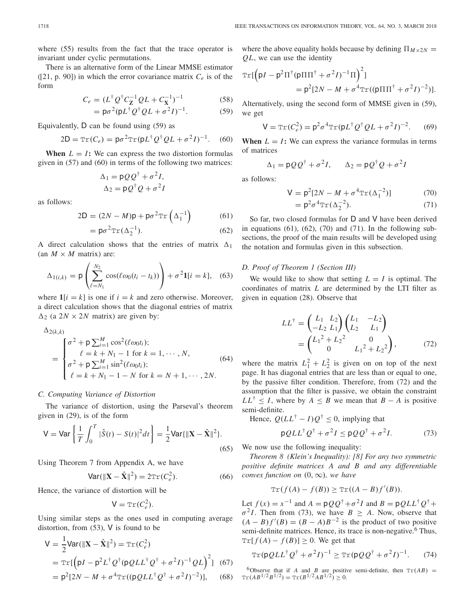where (55) results from the fact that the trace operator is invariant under cyclic permutations.

There is an alternative form of the Linear MMSE estimator ([21, p. 90]) in which the error covariance matrix *Ce* is of the form

$$
C_e = (L^{\dagger} Q^{\dagger} C_{\mathbf{Z}}^{-1} Q L + C_{\mathbf{X}}^{-1})^{-1}
$$
 (58)

$$
= \mathsf{p}\sigma^2 (\mathsf{p}L^\dagger \mathcal{Q}^\dagger \mathcal{Q}L + \sigma^2 I)^{-1}.
$$
 (59)

Equivalently, D can be found using (59) as

$$
2D = \text{Tr}(C_e) = p\sigma^2 \text{Tr}(pL^{\dagger}Q^{\dagger}QL + \sigma^2I)^{-1}.
$$
 (60)

**When**  $L = I$ : We can express the two distortion formulas given in (57) and (60) in terms of the following two matrices:

$$
\Delta_1 = pQQ^{\dagger} + \sigma^2 I,
$$
  

$$
\Delta_2 = pQ^{\dagger}Q + \sigma^2 I
$$

as follows:

$$
2D = (2N - M)p + p\sigma^2 \text{Tr}\left(\Delta_1^{-1}\right)
$$
 (61)

$$
= p\sigma^2 \operatorname{Tr}(\Delta_2^{-1}). \tag{62}
$$

A direct calculation shows that the entries of matrix  $\Delta_1$ (an  $M \times M$  matrix) are:

$$
\Delta_{1(i,k)} = \mathsf{p}\left(\sum_{\ell=N_1}^{N_2} \cos(\ell \omega_0(t_i - t_k))\right) + \sigma^2 \mathbf{1}[i = k], \quad (63)
$$

where  $\mathbf{1}[i = k]$  is one if  $i = k$  and zero otherwise. Moreover, a direct calculation shows that the diagonal entries of matrix  $\Delta_2$  (a 2*N* × 2*N* matrix) are given by:

$$
\Delta_{2(k,k)}\n= \begin{cases}\n\sigma^2 + \mathsf{p} \sum_{i=1}^M \cos^2(\ell \omega_0 t_i); \\
\ell = k + N_1 - 1 \text{ for } k = 1, \cdots, N, \\
\sigma^2 + \mathsf{p} \sum_{i=1}^M \sin^2(\ell \omega_0 t_i); \\
\ell = k + N_1 - 1 - N \text{ for } k = N + 1, \cdots, 2N.\n\end{cases} \tag{64}
$$

#### *C. Computing Variance of Distortion*

The variance of distortion, using the Parseval's theorem given in (29), is of the form

$$
\mathsf{V} = \mathsf{Var}\left\{\frac{1}{T} \int_0^T |\hat{S}(t) - S(t)|^2 dt\right\} = \frac{1}{2} \mathsf{Var}\{\|\mathbf{X} - \hat{\mathbf{X}}\|^2\}.
$$
\n(65)

Using Theorem 7 from Appendix A, we have

$$
\text{Var}(\|\mathbf{X} - \hat{\mathbf{X}}\|^2) = 2\text{Tr}(C_e^2). \tag{66}
$$

Hence, the variance of distortion will be

$$
V = \text{Tr}(C_e^2).
$$

Using similar steps as the ones used in computing average distortion, from (53), V is found to be

$$
V = \frac{1}{2} \text{Var}(\|\mathbf{X} - \hat{\mathbf{X}}\|^2) = \text{Tr}(C_e^2)
$$
  
=  $\text{Tr}[\left(\mathbf{p}I - \mathbf{p}^2 L^{\dagger} Q^{\dagger} (\mathbf{p} Q L L^{\dagger} Q^{\dagger} + \sigma^2 I)^{-1} Q L\right)^2]$  (67)  
=  $\mathbf{p}^2 [2N - M + \sigma^4 \text{Tr}((\mathbf{p} Q L L^{\dagger} Q^{\dagger} + \sigma^2 I)^{-2})],$  (68)

where the above equality holds because by defining  $\Pi_{M\times 2N}$  = *QL*, we can use the identity

$$
\operatorname{Tr}[\left(pI - p^2\Pi^{\dagger}(p\Pi\Pi^{\dagger} + \sigma^2I)^{-1}\Pi\right)^2]
$$
  
=  $p^2[2N - M + \sigma^4\operatorname{Tr}((p\Pi\Pi^{\dagger} + \sigma^2I)^{-2})].$ 

Alternatively, using the second form of MMSE given in (59), we get

$$
V = Tr(C_e^2) = p^2 \sigma^4 Tr(pL^{\dagger} Q^{\dagger} QL + \sigma^2 I)^{-2}.
$$
 (69)

**When**  $L = I$ : We can express the variance formulas in terms of matrices

$$
\Delta_1 = \mathsf{p} Q Q^{\dagger} + \sigma^2 I, \qquad \Delta_2 = \mathsf{p} Q^{\dagger} Q + \sigma^2 I
$$

as follows:

$$
V = p^{2}[2N - M + \sigma^{4} \text{Tr}(\Delta_{1}^{-2})]
$$
 (70)  

$$
p^{2} - 4\text{Tr}(\Delta_{1}^{-2})
$$
 (71)

$$
= \mathsf{p}^2 \sigma^4 \mathrm{Tr}(\Delta_2^{-2}).\tag{71}
$$

So far, two closed formulas for D and V have been derived in equations  $(61)$ ,  $(62)$ ,  $(70)$  and  $(71)$ . In the following subsections, the proof of the main results will be developed using the notation and formulas given in this subsection.

#### *D. Proof of Theorem 1 (Section III)*

We would like to show that setting  $L = I$  is optimal. The coordinates of matrix *L* are determined by the LTI filter as given in equation (28). Observe that

$$
LL^{\dagger} = \begin{pmatrix} L_1 & L_2 \\ -L_2 & L_1 \end{pmatrix} \begin{pmatrix} L_1 & -L_2 \\ L_2 & L_1 \end{pmatrix}
$$
  
= 
$$
\begin{pmatrix} L_1^2 + L_2^2 & 0 \\ 0 & L_1^2 + L_2^2 \end{pmatrix},
$$
(72)

where the matrix  $L_1^2 + L_2^2$  is given on on top of the next page. It has diagonal entries that are less than or equal to one, by the passive filter condition. Therefore, from (72) and the assumption that the filter is passive, we obtain the constraint *LL*<sup>†</sup> ≤ *I*, where by  $A \leq B$  we mean that  $B - A$  is positive semi-definite.

Hence,  $Q(LL^{\dagger} - I)Q^{\dagger} < 0$ , implying that

$$
\mathsf{p} Q L L^{\dagger} Q^{\dagger} + \sigma^2 I \le \mathsf{p} Q Q^{\dagger} + \sigma^2 I. \tag{73}
$$

We now use the following inequality:

*Theorem 8 (Klein's Inequality): [8] For any two symmetric positive definite matrices A and B and any differentiable convex function on* (0,∞)*, we have*

$$
\operatorname{Tr}(f(A) - f(B)) \geq \operatorname{Tr}((A - B)f'(B)).
$$

Let  $f(x) = x^{-1}$  and  $A = pQQ^{\dagger} + \sigma^2 I$  and  $B = pQLL^{\dagger}Q^{\dagger} + \sigma^2 I$  $\sigma^2 I$ . Then from (73), we have  $B \geq A$ . Now, observe that  $(A - B)f'(B) = (B - A)B^{-2}$  is the product of two positive semi-definite matrices. Hence, its trace is non-negative.<sup>6</sup> Thus,  $Tr[f(A) - f(B)] \geq 0$ . We get that

$$
\operatorname{Tr}(\mathbf{p} Q L L^{\dagger} Q^{\dagger} + \sigma^2 I)^{-1} \ge \operatorname{Tr}(\mathbf{p} Q Q^{\dagger} + \sigma^2 I)^{-1}.
$$
 (74)

<sup>6</sup>Observe that if *A* and *B* are positive semi-definite, then  $Tr(AB)$  =  $\operatorname{Tr}(AB^{1/2}B^{1/2}) = \operatorname{Tr}(B^{1/2}AB^{1/2}) \geq 0.$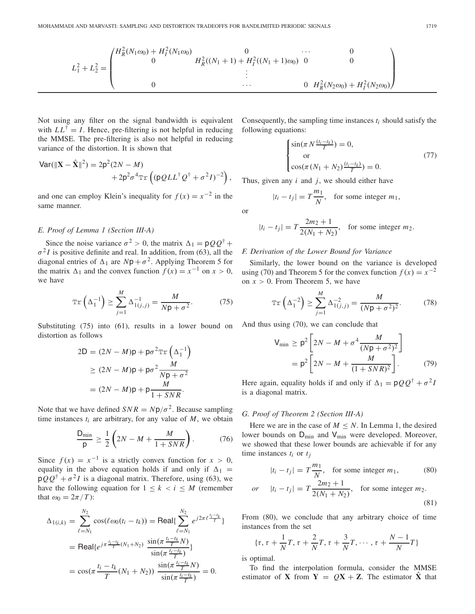$$
L_1^2 + L_2^2 = \begin{pmatrix} H_R^2(N_1\omega_0) + H_I^2(N_1\omega_0) & 0 & \cdots & 0 \\ 0 & H_R^2((N_1 + 1) + H_I^2((N_1 + 1)\omega_0) & 0 & 0 \\ \vdots & \vdots & \ddots & 0 & H_R^2(N_2\omega_0) + H_I^2(N_2\omega_0) \end{pmatrix}
$$

Not using any filter on the signal bandwidth is equivalent with  $LL^{\dagger} = I$ . Hence, pre-filtering is not helpful in reducing the MMSE. The pre-filtering is also not helpful in reducing variance of the distortion. It is shown that

$$
\begin{aligned} \text{Var}(\|\mathbf{X} - \hat{\mathbf{X}}\|^2) &= 2p^2(2N - M) \\ &+ 2p^2\sigma^4 \text{Tr}\left((pQLL^\dagger Q^\dagger + \sigma^2 I)^{-2}\right), \end{aligned}
$$

and one can employ Klein's inequality for  $f(x) = x^{-2}$  in the same manner.

# *E. Proof of Lemma 1 (Section III-A)*

Since the noise variance  $\sigma^2 > 0$ , the matrix  $\Delta_1 = pQQ^{\dagger} + pQQ^{\dagger}$  $\sigma^2 I$  is positive definite and real. In addition, from (63), all the diagonal entries of  $\Delta_1$  are  $Np + \sigma^2$ . Applying Theorem 5 for the matrix  $\Delta_1$  and the convex function  $f(x) = x^{-1}$  on  $x > 0$ , we have

$$
\operatorname{Tr}\left(\Delta_{1}^{-1}\right) \ge \sum_{j=1}^{M} \Delta_{1(j,j)}^{-1} = \frac{M}{Np + \sigma^2}.\tag{75}
$$

Substituting (75) into (61), results in a lower bound on distortion as follows

$$
2D = (2N - M)p + p\sigma^{2} \text{Tr} \left(\Delta_{1}^{-1}\right)
$$
  
\n
$$
\geq (2N - M)p + p\sigma^{2} \frac{M}{Np + \sigma^{2}}
$$
  
\n
$$
= (2N - M)p + p \frac{M}{1 + SNR}.
$$

Note that we have defined  $SNR = Np/\sigma^2$ . Because sampling time instances  $t_i$  are arbitrary, for any value of  $M$ , we obtain

$$
\frac{\mathsf{D}_{\min}}{\mathsf{p}} \ge \frac{1}{2} \left( 2N - M + \frac{M}{1 + SNR} \right). \tag{76}
$$

Since  $f(x) = x^{-1}$  is a strictly convex function for  $x > 0$ , equality in the above equation holds if and only if  $\Delta_1$  =  $pQQ^{\dagger} + \sigma^2 I$  is a diagonal matrix. Therefore, using (63), we have the following equation for  $1 \leq k \leq i \leq M$  (remember that  $\omega_0 = 2\pi/T$ :

$$
\Delta_{1(i,k)} = \sum_{\ell=N_1}^{N_2} \cos(\ell \omega_0(t_i - t_k)) = \text{Real}\{\sum_{\ell=N_1}^{N_2} e^{j2\pi \ell \frac{t_i - t_k}{T}}\}
$$
\n
$$
= \text{Real}\{e^{j\pi \frac{t_i - t_k}{T}(N_1 + N_2)} \frac{\sin(\pi \frac{t_i - t_k}{T}N)}{\sin(\pi \frac{t_i - t_k}{T})}\}
$$
\n
$$
= \cos(\pi \frac{t_i - t_k}{T}(N_1 + N_2)) \frac{\sin(\pi \frac{t_i - t_k}{T}N)}{\sin(\pi \frac{t_i - t_k}{T})} = 0.
$$

Consequently, the sampling time instances *ti* should satisfy the following equations:

$$
\begin{cases}\n\sin(\pi N \frac{(t_i - t_k)}{T}) = 0, \\
\text{or} \\
\cos(\pi (N_1 + N_2) \frac{(t_i - t_k)}{T}) = 0.\n\end{cases}
$$
\n(77)

Thus, given any *i* and *j*, we should either have

$$
|t_i - t_j| = T \frac{m_1}{N},
$$
 for some integer  $m_1$ ,

or

$$
|t_i - t_j| = T \frac{2m_2 + 1}{2(N_1 + N_2)},
$$
 for some integer  $m_2$ .

# *F. Derivation of the Lower Bound for Variance*

Similarly, the lower bound on the variance is developed using (70) and Theorem 5 for the convex function  $f(x) = x^{-2}$ on  $x > 0$ . From Theorem 5, we have

$$
\operatorname{Tr}\left(\Delta_1^{-2}\right) \ge \sum_{j=1}^M \Delta_{1(j,j)}^{-2} = \frac{M}{(Np + \sigma^2)^2}.
$$
 (78)

And thus using (70), we can conclude that

$$
V_{\min} \ge p^2 \left[ 2N - M + \sigma^4 \frac{M}{(Np + \sigma^2)^2} \right]
$$
  
=  $p^2 \left[ 2N - M + \frac{M}{(1 + SNR)^2} \right].$  (79)

Here again, equality holds if and only if  $\Delta_1 = pQQ^{\dagger} + \sigma^2 I$ is a diagonal matrix.

#### *G. Proof of Theorem 2 (Section III-A)*

Here we are in the case of  $M \leq N$ . In Lemma 1, the desired lower bounds on  $D_{\text{min}}$  and  $V_{\text{min}}$  were developed. Moreover, we showed that these lower bounds are achievable if for any time instances  $t_i$  or  $t_j$ 

$$
|t_i - t_j| = T \frac{m_1}{N}, \text{ for some integer } m_1,
$$
 (80)  
or  $|t_i - t_j| = T \frac{2m_2 + 1}{2(N_1 + N_2)}, \text{ for some integer } m_2.$  (81)

From (80), we conclude that any arbitrary choice of time instances from the set

$$
\{\tau, \tau + \frac{1}{N}T, \tau + \frac{2}{N}T, \tau + \frac{3}{N}T, \cdots, \tau + \frac{N-1}{N}T\}
$$

is optimal.

To find the interpolation formula, consider the MMSE estimator of **X** from **Y** =  $QX + Z$ . The estimator  $\hat{X}$  that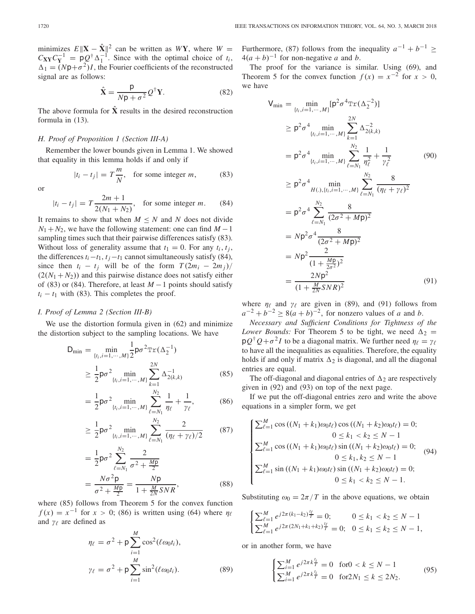minimizes  $E\|\mathbf{X} - \hat{\mathbf{X}}\|^2$  can be written as  $W\mathbf{Y}$ , where  $W =$  $C_{XY}C_Y^{-1} = pQ^{\dagger} \Delta_1^{-1}$ . Since with the optimal choice of *t<sub>i</sub>*,  $\Delta_1 = (Np + \sigma^2)I$ , the Fourier coefficients of the reconstructed signal are as follows:

$$
\hat{\mathbf{X}} = \frac{\mathbf{p}}{N\mathbf{p} + \sigma^2} Q^{\dagger} \mathbf{Y}.
$$
 (82)

The above formula for  $\hat{\mathbf{X}}$  results in the desired reconstruction formula in (13).

## *H. Proof of Proposition 1 (Section III-A)*

Remember the lower bounds given in Lemma 1. We showed that equality in this lemma holds if and only if

$$
|t_i - t_j| = T \frac{m}{N}, \quad \text{for some integer } m,
$$
 (83)

or

$$
|t_i - t_j| = T \frac{2m + 1}{2(N_1 + N_2)},
$$
 for some integer m. (84)

It remains to show that when  $M \leq N$  and N does not divide  $N_1 + N_2$ , we have the following statement: one can find  $M - 1$ sampling times such that their pairwise differences satisfy (83). Without loss of generality assume that  $t_1 = 0$ . For any  $t_i, t_j$ , the differences  $t_i - t_1$ ,  $t_j - t_1$  cannot simultaneously satisfy (84), since then  $t_i - t_j$  will be of the form  $T(2m_i - 2m_j)/$  $(2(N_1 + N_2))$  and this pairwise distance does not satisfy either of (83) or (84). Therefore, at least *M* −1 points should satisfy  $t_i - t_1$  with (83). This completes the proof.

#### *I. Proof of Lemma 2 (Section III-B)*

We use the distortion formula given in (62) and minimize the distortion subject to the sampling locations. We have

$$
D_{\min} = \min_{\{t_i, i=1, \cdots, M\}} \frac{1}{2} p \sigma^2 \text{Tr}(\Delta_2^{-1})
$$
  
 
$$
\geq \frac{1}{2} p \sigma^2 \min_{\{t_i, i=1, \cdots, M\}} \sum_{k=1}^{2N} \Delta_{2(k,k)}^{-1}
$$
(85)

$$
= \frac{1}{2} p \sigma^2 \min_{\{t_i, i=1,\cdots,M\}} \sum_{\ell=N_1}^{N_2} \frac{1}{\eta_\ell} + \frac{1}{\gamma_\ell},
$$
(86)

$$
\geq \frac{1}{2} p \sigma^2 \min_{\{t_i, i=1,\cdots,M\}} \sum_{\ell=N_1}^{N_2} \frac{2}{(\eta_\ell + \gamma_\ell)/2} \tag{87}
$$

$$
= \frac{1}{2} p \sigma^2 \sum_{\ell=N_1}^{N_2} \frac{2}{\sigma^2 + \frac{Mp}{2}}
$$
  
= 
$$
\frac{N \sigma^2 p}{\sigma^2 + \frac{Mp}{2}} = \frac{Np}{1 + \frac{M}{2N} SNR},
$$
 (88)

where (85) follows from Theorem 5 for the convex function  $f(x) = x^{-1}$  for  $x > 0$ ; (86) is written using (64) where  $\eta_{\ell}$ and  $\gamma_{\ell}$  are defined as

$$
\eta_{\ell} = \sigma^2 + \mathsf{p} \sum_{i=1}^{M} \cos^2(\ell \omega_0 t_i),
$$
  

$$
\gamma_{\ell} = \sigma^2 + \mathsf{p} \sum_{i=1}^{M} \sin^2(\ell \omega_0 t_i).
$$
 (89)

Furthermore, (87) follows from the inequality  $a^{-1} + b^{-1}$  $4(a + b)^{-1}$  for non-negative *a* and *b*.

The proof for the variance is similar. Using (69), and Theorem 5 for the convex function  $f(x) = x^{-2}$  for  $x > 0$ , we have

$$
V_{\min} = \min_{\{t_i, i=1, \dots, M\}} [p^2 \sigma^4 \text{Tr}(\Delta_2^{-2})]
$$
  
\n
$$
\geq p^2 \sigma^4 \min_{\{t_i, i=1, \dots, M\}} \sum_{k=1}^{2N} \Delta_{2(k,k)}^{-2}
$$
  
\n
$$
= p^2 \sigma^4 \min_{\{t_i, i=1, \dots, M\}} \sum_{\ell=N_1}^{N_2} \frac{1}{\eta_{\ell}^2} + \frac{1}{\gamma_{\ell}^2}
$$
(90)  
\n
$$
\geq p^2 \sigma^4 \min_{H(.), \{t_i, i=1, \dots, M\}} \sum_{\ell=N_1}^{N_2} \frac{8}{(\eta_{\ell} + \gamma_{\ell})^2}
$$
  
\n
$$
= p^2 \sigma^4 \sum_{\ell=N_1}^{N_2} \frac{8}{(2\sigma^2 + Mp)^2}
$$
  
\n
$$
= Np^2 \sigma^4 \frac{8}{(2\sigma^2 + Mp)^2}
$$
  
\n
$$
= Np^2 \frac{2}{(1 + \frac{Mp}{2\sigma^2})^2}
$$
  
\n
$$
= \frac{2Np^2}{(1 + \frac{M}{2N}SNR)^2}
$$
(91)

where  $\eta_{\ell}$  and  $\gamma_{\ell}$  are given in (89), and (91) follows from  $a^{-2} + b^{-2} \geq 8(a+b)^{-2}$ , for nonzero values of *a* and *b*.

*Necessary and Sufficient Conditions for Tightness of the Lower Bounds:* For Theorem 5 to be tight, we need  $\Delta_2$  =  $pQ^{\dagger}Q+\sigma^2I$  to be a diagonal matrix. We further need  $\eta_{\ell}=\gamma_{\ell}$ to have all the inequalities as equalities. Therefore, the equality holds if and only if matrix  $\Delta_2$  is diagonal, and all the diagonal entries are equal.

The off-diagonal and diagonal entries of  $\Delta_2$  are respectively given in (92) and (93) on top of the next page.

If we put the off-diagonal entries zero and write the above equations in a simpler form, we get

$$
\begin{cases}\n\sum_{\ell=1}^{M} \cos ((N_1 + k_1) \omega_0 t_\ell) \cos ((N_1 + k_2) \omega_0 t_\ell) = 0; \\
0 \le k_1 < k_2 \le N - 1 \\
\sum_{\ell=1}^{M} \cos ((N_1 + k_1) \omega_0 t_\ell) \sin ((N_1 + k_2) \omega_0 t_\ell) = 0; \\
0 \le k_1, k_2 \le N - 1 \\
\sum_{\ell=1}^{M} \sin ((N_1 + k_1) \omega_0 t_\ell) \sin ((N_1 + k_2) \omega_0 t_\ell) = 0; \\
0 \le k_1 < k_2 \le N - 1.\n\end{cases} \tag{94}
$$

Substituting  $\omega_0 = 2\pi/T$  in the above equations, we obtain

$$
\begin{cases} \sum_{\ell=1}^{M} e^{j2\pi (k_1 - k_2) \frac{t_{\ell}}{T}} = 0; & 0 \le k_1 < k_2 \le N - 1\\ \sum_{\ell=1}^{M} e^{j2\pi (2N_1 + k_1 + k_2) \frac{t_{\ell}}{T}} = 0; & 0 \le k_1 \le k_2 \le N - 1, \end{cases}
$$

or in another form, we have

$$
\begin{cases} \sum_{i=1}^{M} e^{j2\pi k \frac{t_i}{T}} = 0 & \text{for } 0 < k \le N - 1\\ \sum_{i=1}^{M} e^{j2\pi k \frac{t_i}{T}} = 0 & \text{for } 2N_1 \le k \le 2N_2. \end{cases} \tag{95}
$$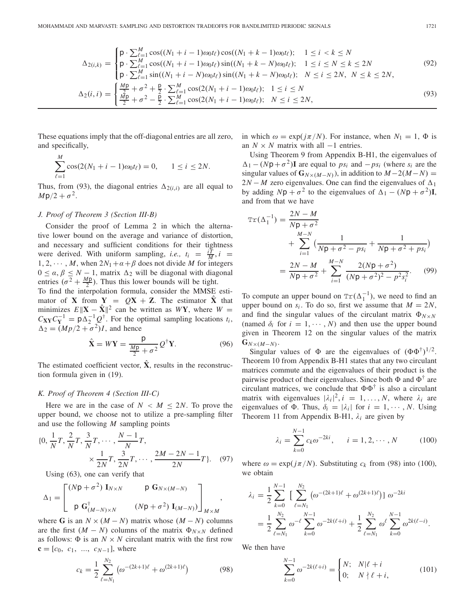$$
\Delta_{2(i,k)} = \begin{cases}\n\mathbf{p} \cdot \sum_{\ell=1}^{M} \cos((N_1 + i - 1)\omega_0 t_\ell) \cos((N_1 + k - 1)\omega_0 t_\ell); & 1 \leq i < k \leq N \\
\mathbf{p} \cdot \sum_{\ell=1}^{M} \cos((N_1 + i - 1)\omega_0 t_\ell) \sin((N_1 + k - N)\omega_0 t_\ell); & 1 \leq i \leq N \leq k \leq 2N \\
\mathbf{p} \cdot \sum_{\ell=1}^{M} \sin((N_1 + i - N)\omega_0 t_\ell) \sin((N_1 + k - N)\omega_0 t_\ell); & N \leq i \leq 2N, N \leq k \leq 2N,\n\end{cases}
$$
\n
$$
\Delta_2(i, i) = \begin{cases}\n\frac{M_D}{2} + \sigma^2 + \frac{D}{2} \cdot \sum_{\ell=1}^{M} \cos(2(N_1 + i - 1)\omega_0 t_\ell); & 1 \leq i \leq N \\
\frac{M_D}{2} + \sigma^2 - \frac{D}{2} \cdot \sum_{\ell=1}^{M} \cos(2(N_1 + i - 1)\omega_0 t_\ell); & N \leq i \leq 2N,\n\end{cases}
$$
\n(93)

These equations imply that the off-diagonal entries are all zero, and specifically,

$$
\sum_{\ell=1}^{M} \cos(2(N_1 + i - 1)\omega_0 t_\ell) = 0, \qquad 1 \le i \le 2N.
$$

Thus, from (93), the diagonal entries  $\Delta_{2(i,i)}$  are all equal to  $M$ p/2 +  $\sigma^2$ .

#### *J. Proof of Theorem 3 (Section III-B)*

Consider the proof of Lemma 2 in which the alternative lower bound on the average and variance of distortion, and necessary and sufficient conditions for their tightness were derived. With uniform sampling, *i.e.*,  $t_i = \frac{i\bar{T}}{M}$ ,  $i =$ 1, 2,  $\cdots$ , *M*, when  $2N_1+\alpha+\beta$  does not divide *M* for integers  $0 \le \alpha, \beta \le N - 1$ , matrix  $\Delta_2$  will be diagonal with diagonal entries  $(\sigma^2 + \frac{Mp}{2})$ . Thus this lower bounds will be tight.

To find the interpolation formula, consider the MMSE estimator of **X** from **Y** =  $QX + Z$ . The estimator  $\hat{X}$  that minimizes  $E\|\mathbf{X} - \hat{\mathbf{X}}\|^2$  can be written as  $W\mathbf{Y}$ , where  $W =$  $C_{XY}C_Y^{-1} = p\Delta_2^{-1}Q^{\dagger}$ . For the optimal sampling locations *t<sub>i</sub>*,  $\Delta_2 = (Mp/2 + \sigma^2)I$ , and hence

$$
\hat{\mathbf{X}} = W\mathbf{Y} = \frac{\mathbf{p}}{\frac{M\mathbf{p}}{2} + \sigma^2} Q^{\dagger} \mathbf{Y}.
$$
 (96)

The estimated coefficient vector,  $\ddot{\mathbf{X}}$ , results in the reconstruction formula given in (19).

# *K. Proof of Theorem 4 (Section III-C)*

Here we are in the case of  $N < M \leq 2N$ . To prove the upper bound, we choose not to utilize a pre-sampling filter and use the following *M* sampling points

$$
\{0, \frac{1}{N}T, \frac{2}{N}T, \frac{3}{N}T, \cdots, \frac{N-1}{N}T, \frac{N}{2N}T, \frac{2M-2N-1}{2N}T\}. \quad (97)
$$

Using (63), one can verify that

$$
\Delta_1 = \begin{bmatrix} (Np + \sigma^2) \mathbf{I}_{N \times N} & p \mathbf{G}_{N \times (M-N)} \\ p \mathbf{G}_{(M-N) \times N}^{\dagger} & (Np + \sigma^2) \mathbf{I}_{(M-N)} \end{bmatrix}_{M \times M},
$$

where **G** is an  $N \times (M - N)$  matrix whose  $(M - N)$  columns are the first  $(M - N)$  columns of the matrix  $\Phi_{N \times N}$  defined as follows:  $\Phi$  is an  $N \times N$  circulant matrix with the first row  ${\bf c} = [c_0, c_1, ..., c_{N-1}]$ , where

$$
c_k = \frac{1}{2} \sum_{\ell=N_1}^{N_2} \left( \omega^{-(2k+1)\ell} + \omega^{(2k+1)\ell} \right) \tag{98}
$$

in which  $\omega = \exp(j\pi/N)$ . For instance, when  $N_1 = 1$ ,  $\Phi$  is an  $N \times N$  matrix with all  $-1$  entries.

Using Theorem 9 from Appendix B-H1, the eigenvalues of  $\Delta_1 - (Np + \sigma^2)$ **I** are equal to *ps<sub>i</sub>* and  $-ps_i$  (where *s<sub>i</sub>* are the singular values of  $G_{N\times (M-N)}$ , in addition to  $M-2(M-N)$  =  $2N - M$  zero eigenvalues. One can find the eigenvalues of  $\Delta_1$ by adding  $Np + \sigma^2$  to the eigenvalues of  $\Delta_1 - (Np + \sigma^2)I$ , and from that we have

$$
\operatorname{Tr}(\Delta_1^{-1}) = \frac{2N - M}{Np + \sigma^2} \n+ \sum_{i=1}^{M-N} \left( \frac{1}{Np + \sigma^2 - ps_i} + \frac{1}{Np + \sigma^2 + ps_i} \right) \n= \frac{2N - M}{Np + \sigma^2} + \sum_{i=1}^{M-N} \frac{2(Np + \sigma^2)}{(Np + \sigma^2)^2 - p^2 s_i^2}.
$$
\n(99)

To compute an upper bound on  $Tr(\Delta_1^{-1})$ , we need to find an upper bound on  $s_i$ . To do so, first we assume that  $M = 2N$ , and find the singular values of the circulant matrix  $\Phi_{N \times N}$ (named  $\delta_i$  for  $i = 1, \dots, N$ ) and then use the upper bound given in Theorem 12 on the singular values of the matrix  $\mathbf{G}_{N\times (M-N)}$ .

Singular values of  $\Phi$  are the eigenvalues of  $(\Phi \Phi^{\dagger})^{1/2}$ . Theorem 10 from Appendix B-H1 states that any two circulant matrices commute and the eigenvalues of their product is the pairwise product of their eigenvalues. Since both  $\Phi$  and  $\Phi^{\dagger}$  are circulant matrices, we conclude that  $\Phi \Phi^{\dagger}$  is also a circulant matrix with eigenvalues  $|\lambda_i|^2$ ,  $i = 1, ..., N$ , where  $\lambda_i$  are eigenvalues of  $\Phi$ . Thus,  $\delta_i = |\lambda_i|$  for  $i = 1, \dots, N$ . Using Theorem 11 from Appendix B-H1,  $\lambda_i$  are given by

$$
\lambda_i = \sum_{k=0}^{N-1} c_k \omega^{-2ki}, \qquad i = 1, 2, \cdots, N \tag{100}
$$

where  $\omega = \exp(j\pi/N)$ . Substituting  $c_k$  from (98) into (100), we obtain

$$
\lambda_i = \frac{1}{2} \sum_{k=0}^{N-1} \left[ \sum_{\ell=N_1}^{N_2} \left( \omega^{-(2k+1)\ell} + \omega^{(2k+1)\ell} \right) \right] \omega^{-2ki}
$$
  
= 
$$
\frac{1}{2} \sum_{\ell=N_1}^{N_2} \omega^{-\ell} \sum_{k=0}^{N-1} \omega^{-2k(\ell+i)} + \frac{1}{2} \sum_{\ell=N_1}^{N_2} \omega^{\ell} \sum_{k=0}^{N-1} \omega^{2k(\ell-i)}.
$$

We then have

$$
\sum_{k=0}^{N-1} \omega^{-2k(\ell+i)} = \begin{cases} N; & N|\ell+i \\ 0; & N \nmid \ell+i, \end{cases}
$$
 (101)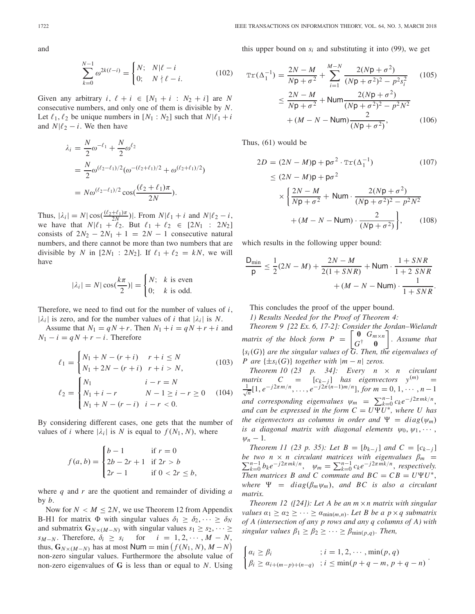and

$$
\sum_{k=0}^{N-1} \omega^{2k(\ell-i)} = \begin{cases} N; & N|\ell - i \\ 0; & N \nmid \ell - i. \end{cases}
$$
 (102)

Given any arbitrary  $i, \ell + i \in [N_1 + i : N_2 + i]$  are N consecutive numbers, and only one of them is divisible by *N*. Let  $\ell_1, \ell_2$  be unique numbers in  $[N_1 : N_2]$  such that  $N|\ell_1 + i$ and  $N|\ell_2 - i$ . We then have

$$
\lambda_i = \frac{N}{2} \omega^{-\ell_1} + \frac{N}{2} \omega^{\ell_2}
$$
  
= 
$$
\frac{N}{2} \omega^{(\ell_2 - \ell_1)/2} (\omega^{-(\ell_2 + \ell_1)/2} + \omega^{(\ell_2 + \ell_1)/2})
$$
  
= 
$$
N \omega^{(\ell_2 - \ell_1)/2} \cos(\frac{(\ell_2 + \ell_1)\pi}{2N}).
$$

Thus,  $|\lambda_i| = N |\cos(\frac{(\ell_2 + \ell_1)\pi}{2N})|$ . From  $N|\ell_1 + i$  and  $N|\ell_2 - i$ , we have that  $N|\ell_1 + \ell_2$ . But  $\ell_1 + \ell_2 \in [2N_1 : 2N_2]$ consists of  $2N_2 - 2N_1 + 1 = 2N - 1$  consecutive natural numbers, and there cannot be more than two numbers that are divisible by *N* in  $[2N_1 : 2N_2]$ . If  $\ell_1 + \ell_2 = kN$ , we will have

$$
|\lambda_i| = N |\cos(\frac{k\pi}{2})| = \begin{cases} N; & k \text{ is even} \\ 0; & k \text{ is odd.} \end{cases}
$$

Therefore, we need to find out for the number of values of *i*,  $|\lambda_i|$  is zero, and for the number values of *i* that  $|\lambda_i|$  is N.

Assume that  $N_1 = qN + r$ . Then  $N_1 + i = qN + r + i$  and  $N_1 - i = qN + r - i$ . Therefore

$$
\ell_1 = \begin{cases} N_1 + N - (r + i) & r + i \le N \\ N_1 + 2N - (r + i) & r + i > N, \end{cases}
$$
 (103)

$$
\ell_2 = \begin{cases} N_1 & i - r = N \\ N_1 + i - r & N - 1 \ge i - r \ge 0 \\ N_1 + N - (r - i) & i - r < 0. \end{cases} \tag{104}
$$

By considering different cases, one gets that the number of values of *i* where  $|\lambda_i|$  is *N* is equal to  $f(N_1, N)$ , where

$$
f(a,b) = \begin{cases} b-1 & \text{if } r = 0\\ 2b - 2r + 1 & \text{if } 2r > b\\ 2r - 1 & \text{if } 0 < 2r \le b, \end{cases}
$$

where *q* and *r* are the quotient and remainder of dividing *a* by *b*.

Now for  $N < M \leq 2N$ , we use Theorem 12 from Appendix B-H1 for matrix  $\Phi$  with singular values  $\delta_1 \geq \delta_2, \dots \geq \delta_N$ and submatrix  $\mathbf{G}_{N\times(M-N)}$  with singular values  $s_1 \geq s_2, \dots \geq$  $s_{M-N}$ . Therefore,  $\delta_i \geq s_i$  for  $i = 1, 2, \dots, M - N$ , thus,  $\mathbf{G}_{N\times (M-N)}$  has at most  $\mathsf{Num} = \min\big(f(N_1, N), M-N\big)$ non-zero singular values. Furthermore the absolute value of non-zero eigenvalues of **G** is less than or equal to *N*. Using this upper bound on  $s_i$  and substituting it into (99), we get

$$
\operatorname{Tr}(\Delta_1^{-1}) = \frac{2N - M}{N\mathsf{p} + \sigma^2} + \sum_{i=1}^{M-N} \frac{2(N\mathsf{p} + \sigma^2)}{(N\mathsf{p} + \sigma^2)^2 - p^2 s_i^2} \qquad (105)
$$
  

$$
\leq \frac{2N - M}{N\mathsf{p} + \sigma^2} + \text{Num} \frac{2(N\mathsf{p} + \sigma^2)}{(N\mathsf{p} + \sigma^2)^2 - p^2 N^2} + (M - N - \text{Num}) \frac{2}{(N\mathsf{p} + \sigma^2)}, \qquad (106)
$$

Thus, (61) would be

$$
2D = (2N - M)\mathsf{p} + \mathsf{p}\sigma^2 \cdot \operatorname{Tr}(\Delta_1^{-1}) \qquad (107)
$$
  
\n
$$
\leq (2N - M)\mathsf{p} + \mathsf{p}\sigma^2
$$
  
\n
$$
\times \left\{ \frac{2N - M}{N\mathsf{p} + \sigma^2} + \text{Num} \cdot \frac{2(N\mathsf{p} + \sigma^2)}{(N\mathsf{p} + \sigma^2)^2 - p^2 N^2} + (M - N - \text{Num}) \cdot \frac{2}{(N\mathsf{p} + \sigma^2)} \right\}, \qquad (108)
$$

which results in the following upper bound:

$$
\frac{\mathsf{D}_{\min}}{\mathsf{p}} \le \frac{1}{2}(2N - M) + \frac{2N - M}{2(1 + SNR)} + \mathsf{Num} \cdot \frac{1 + SNR}{1 + 2 SNR} + (M - N - \mathsf{Num}) \cdot \frac{1}{1 + SNR}.
$$

This concludes the proof of the upper bound.

*1) Results Needed for the Proof of Theorem 4: Theorem 9 [22 Ex. 6, 17-2]: Consider the Jordan–Wielandt matrix of the block form*  $P = \begin{bmatrix} 0 & G_{m \times n} \\ G^{\dagger} & 0 \end{bmatrix}$ *G*† **0** 1 . *Assume that* {*si*(*G*)} *are the singular values of G. Then, the eigenvalues of P* are  $\{\pm s_i(G)\}$  together with  $|m - n|$  zeros.

*Theorem 10 (23 p. 34]: Every n* × *n circulant matrix*  $C = [c_{k-j}]$  *has eigenvectors*  $y^{(m)} =$  $\frac{1}{\sqrt{n}}[1, e^{-j2\pi m/n}, \ldots, e^{-j2\pi(n-1)m/n}],$  for  $m = 0, 1, \cdots, n-1$ *and corresponding eigenvalues*  $\psi_m = \sum_{k=0}^{n-1} c_k e^{-j2\pi mk/n}$ , *and can be expressed in the form*  $C = U\Psi U^*$ *, where U has the eigenvectors as columns in order and*  $\Psi = diag(\psi_m)$ *is a diagonal matrix with diagonal elements*  $\psi_0, \psi_1, \cdots,$  $\psi_n-1$ .

*Theorem 11 (23 p. 35): Let B* =  $[b_{k-j}]$  *and*  $C = [c_{k-j}]$ *be two n*  $\times$  *n* circulant matrices with eigenvalues  $\beta_m$  = be two  $n \times n$  circulant matrices with eigenvalues  $\beta_m = \sum_{k=0}^{n-1} b_k e^{-j2\pi mk/n}$ ,  $\psi_m = \sum_{k=0}^{n-1} c_k e^{-j2\pi mk/n}$ , respectively. *Then matrices B and C commute and*  $BC = CB = U \Psi U^*$ *, where*  $\Psi = diag(\beta_m \psi_m)$ , and BC is also a circulant *matrix.*

*Theorem 12 ([24]): Let A be an m*×*n matrix with singular values*  $\alpha_1 \geq \alpha_2 \geq \cdots \geq \alpha_{\min(m,n)}$ . Let B be a  $p \times q$  submatrix *of A (intersection of any p rows and any q columns of A) with singular values*  $\beta_1 \geq \beta_2 \geq \cdots \geq \beta_{\min(p,q)}$ *. Then,* 

$$
\begin{cases}\n\alpha_i \ge \beta_i & ; i = 1, 2, \cdots, \min(p, q) \\
\beta_i \ge \alpha_{i+(m-p)+(n-q)} & ; i \le \min(p+q-m, p+q-n)\n\end{cases}
$$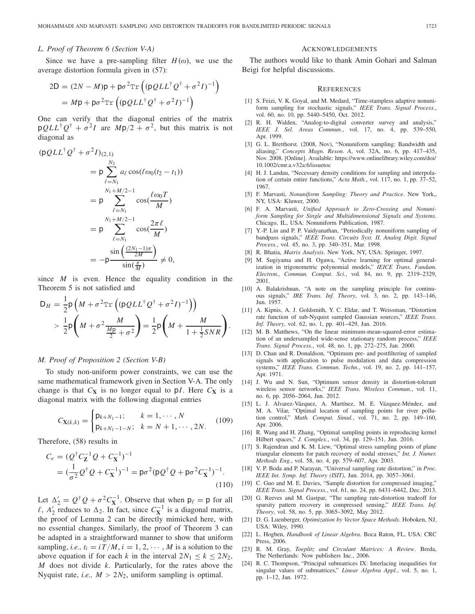#### *L. Proof of Theorem 6 (Section V-A)*

Since we have a pre-sampling filter  $H(\omega)$ , we use the average distortion formula given in (57):

$$
2D = (2N - M)p + p\sigma^2 \text{Tr} \left( (pQLL^{\dagger} Q^{\dagger} + \sigma^2 I)^{-1} \right)
$$
  
=  $Mp + p\sigma^2 \text{Tr} \left( (pQLL^{\dagger} Q^{\dagger} + \sigma^2 I)^{-1} \right)$ 

One can verify that the diagonal entries of the matrix  $pQLL^{\dagger}Q^{\dagger} + \sigma^2I$  are  $Mp/2 + \sigma^2$ , but this matrix is not diagonal as

$$
(\mathsf{p} \mathsf{Q} L L^{\dagger} \mathsf{Q}^{\dagger} + \sigma^2 I)_{(2,1)}\n= \mathsf{p} \sum_{\ell=N_1}^{N_2} a_{\ell} \cos(\ell \omega_0 (t_2 - t_1))\n= \mathsf{p} \sum_{\ell=N_1}^{N_1 + M/2 - 1} \cos(\frac{\ell \omega_0 T}{M})\n= \mathsf{p} \sum_{\ell=N_1}^{N_1 + M/2 - 1} \cos(\frac{2\pi \ell}{M})\n= -\mathsf{p} \frac{\sin(\frac{(2N_1 - 1)\pi}{2M})}{\sin(\frac{\pi}{M})} \neq 0,
$$

since *M* is even. Hence the equality condition in the Theorem 5 is not satisfied and

$$
D_H = \frac{1}{2} \mathsf{p} \left( M + \sigma^2 \mathrm{Tr} \left( (\mathsf{p} Q L L^{\dagger} Q^{\dagger} + \sigma^2 I)^{-1} \right) \right) > \frac{1}{2} \mathsf{p} \left( M + \sigma^2 \frac{M}{\frac{M \mathsf{p}}{2} + \sigma^2} \right) = \frac{1}{2} \mathsf{p} \left( M + \frac{M}{1 + \frac{1}{2} SNR} \right).
$$

#### *M. Proof of Proposition 2 (Section V-B)*

To study non-uniform power constraints, we can use the same mathematical framework given in Section V-A. The only change is that  $C_X$  is no longer equal to  $pI$ . Here  $C_X$  is a diagonal matrix with the following diagonal entries

$$
C_{\mathbf{X}(k,k)} = \begin{cases} \mathsf{p}_{k+N_1-1}; & k = 1, \cdots, N \\ \mathsf{p}_{k+N_1-1-N}; & k = N+1, \cdots, 2N. \end{cases} (109)
$$

Therefore, (58) results in

$$
C_e = (Q^{\dagger} C_{\mathbf{Z}}^{-1} Q + C_{\mathbf{X}}^{-1})^{-1}
$$
  
=  $(\frac{1}{\sigma^2} Q^{\dagger} Q + C_{\mathbf{X}}^{-1})^{-1} = p\sigma^2 (pQ^{\dagger} Q + p\sigma^2 C_{\mathbf{X}}^{-1})^{-1}.$  (110)

Let  $\Delta'_2 = Q^{\dagger} Q + \sigma^2 C_X^{-1}$ . Observe that when  $p_{\ell} = p$  for all  $\ell$ ,  $A'_2$  reduces to  $\Delta_2$ . In fact, since  $C_X^{-1}$  is a diagonal matrix, the proof of Lemma 2 can be directly mimicked here, with no essential changes. Similarly, the proof of Theorem 3 can be adapted in a straightforward manner to show that uniform sampling, *i.e.*,  $t_i = iT/M$ ,  $i = 1, 2, \dots, M$  is a solution to the above equation if for each *k* in the interval  $2N_1 \le k \le 2N_2$ , *M* does not divide *k*. Particularly, for the rates above the Nyquist rate, *i.e.*,  $M > 2N_2$ , uniform sampling is optimal.

#### ACKNOWLEDGEMENTS

The authors would like to thank Amin Gohari and Salman Beigi for helpful discussions.

#### **REFERENCES**

- [1] S. Feizi, V. K. Goyal, and M. Medard, "Time-stampless adaptive nonuniform sampling for stochastic signals," *IEEE Trans. Signal Process.*, vol. 60, no. 10, pp. 5440–5450, Oct. 2012.
- [2] R. H. Walden, "Analog-to-digital converter survey and analysis," *IEEE J. Sel. Areas Commun.*, vol. 17, no. 4, pp. 539–550, Apr. 1999.
- [3] G. L. Bretthorst. (2008, Nov), "Nonuniform sampling: Bandwidth and aliasing," *Concepts Magn. Reson. A*, vol. 32A, no. 6, pp. 417–435, Nov. 2008. [Online]. Available: https://www.onlinelibrary.wiley.com/doi/ 10.1002/cmr.a.v32a:6/issuetoc
- [4] H. J. Landau, "Necessary density conditions for sampling and interpolation of certain entire functions," *Acta Math.*, vol. 117, no. 1, pp. 37–52, 1967.
- [5] F. Marvasti, *Nonuniform Sampling: Theory and Practice*. New York, NY, USA: Kluwer, 2000.
- [6] F. A. Marvasti, *Unified Approach to Zero-Crossing and Nonuniform Sampling for Single and Multidimensional Signals and Systems*. Chicago, IL, USA: Nonuniform Publication, 1987.
- [7] Y.-P. Lin and P. P. Vaidyanathan, "Periodically nonuniform sampling of bandpass signals," *IEEE Trans. Circuits Syst. II, Analog Digit. Signal Process.*, vol. 45, no. 3, pp. 340–351, Mar. 1998.
- [8] R. Bhatia, *Matrix Analysis*. New York, NY, USA: Springer, 1997.
- [9] M. Sugiyama and H. Ogawa, "Active learning for optimal generalization in trigonometric polynomial models," *IEICE Trans. Fundam. Electron., Commun. Comput. Sci.*, vol. 84, no. 9, pp. 2319–2329, 2001.
- [10] A. Balakrishnan, "A note on the sampling principle for continuous signals," *IRE Trans. Inf. Theory*, vol. 3, no. 2, pp. 143–146, Jun. 1957.
- [11] A. Kipnis, A. J. Goldsmith, Y. C. Eldar, and T. Weissman, "Distortion rate function of sub-Nyquist sampled Gaussian sources," *IEEE Trans. Inf. Theory*, vol. 62, no. 1, pp. 401–429, Jan. 2016.
- [12] M. B. Matthews, "On the linear minimum-mean-squared-error estimation of an undersampled wide-sense stationary random process," *IEEE Trans. Signal Process.*, vol. 48, no. 1, pp. 272–275, Jan. 2000.
- [13] D. Chan and R. Donaldson, "Optimum pre- and postfiltering of sampled signals with application to pulse modulation and data compression systems," *IEEE Trans. Commun. Techn.*, vol. 19, no. 2, pp. 141–157, Apr. 1971.
- [14] J. Wu and N. Sun, "Optimum sensor density in distortion-tolerant wireless sensor networks," *IEEE Trans. Wireless Commun.*, vol. 11, no. 6, pp. 2056–2064, Jun. 2012.
- [15] L. J. Alvarez-Vázquez, A. Martínez, M. E. Vázquez-Méndez, and M. A. Vilar, "Optimal location of sampling points for river pollution control," *Math. Comput. Simul.*, vol. 71, no. 2, pp. 149–160, Apr. 2006.
- [16] R. Wang and H. Zhang, "Optimal sampling points in reproducing kernel Hilbert spaces," *J. Complex.*, vol. 34, pp. 129–151, Jun. 2016.
- [17] S. Rajendran and K. M. Liew, "Optimal stress sampling points of plane triangular elements for patch recovery of nodal stresses," *Int. J. Numer. Methods Eng.*, vol. 58, no. 4, pp. 579–607, Apr. 2003.
- [18] V. P. Boda and P. Narayan, "Universal sampling rate distortion," in *Proc. IEEE Int. Symp. Inf. Theory (ISIT)*, Jun. 2014, pp. 3057–3061.
- [19] C. Guo and M. E. Davies, "Sample distortion for compressed imaging," *IEEE Trans. Signal Process.*, vol. 61, no. 24, pp. 6431–6442, Dec. 2013.
- [20] G. Reeves and M. Gastpar, "The sampling rate-distortion tradeoff for sparsity pattern recovery in compressed sensing," *IEEE Trans. Inf. Theory*, vol. 58, no. 5, pp. 3065–3092, May 2012.
- [21] D. G. Luenberger, *Optimization by Vector Space Methods*. Hoboken, NJ, USA: Wiley, 1990.
- [22] L. Hogben, *Handbook of Linear Algebra*. Boca Raton, FL, USA: CRC Press, 2006.
- [23] R. M. Gray, *Toeplitz and Circulant Matrices: A Review*. Breda, The Netherlands: Now publishers Inc., 2006.
- [24] R. C. Thompson, "Principal submatrices IX: Interlacing inequalities for singular values of submatrices," *Linear Algebra Appl.*, vol. 5, no. 1, pp. 1–12, Jan. 1972.